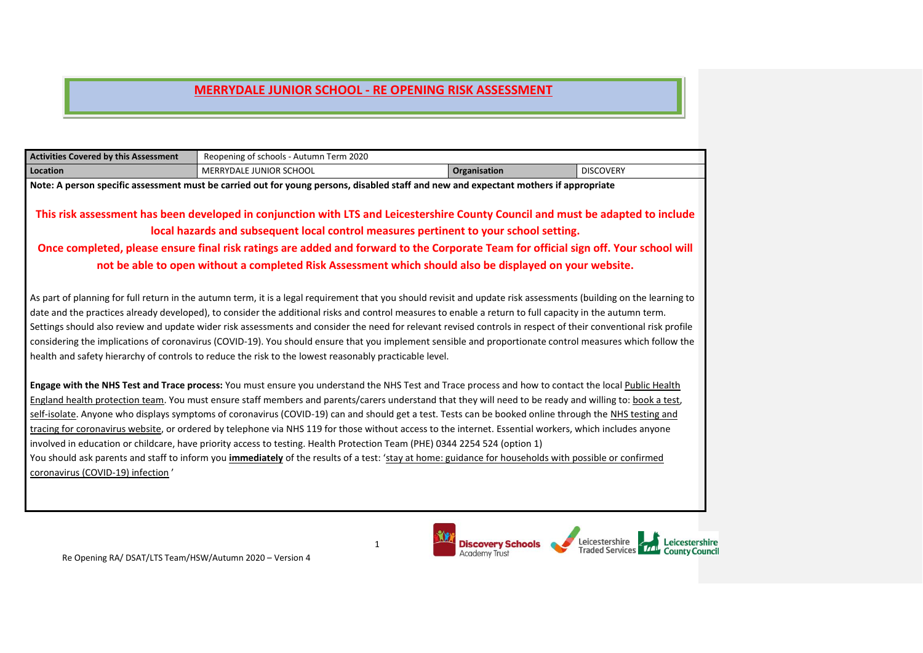| <b>Activities Covered by this Assessment</b> | Reopening of schools - Autumn Term 2020                                                                                                                            |                     |                  |
|----------------------------------------------|--------------------------------------------------------------------------------------------------------------------------------------------------------------------|---------------------|------------------|
| Location                                     | <b>MERRYDALE JUNIOR SCHOOL</b>                                                                                                                                     | <b>Organisation</b> | <b>DISCOVERY</b> |
|                                              | Note: A person specific assessment must be carried out for young persons, disabled staff and new and expectant mothers if appropriate                              |                     |                  |
|                                              |                                                                                                                                                                    |                     |                  |
|                                              | This risk assessment has been developed in conjunction with LTS and Leicestershire County Council and must be adapted to include                                   |                     |                  |
|                                              | local hazards and subsequent local control measures pertinent to your school setting.                                                                              |                     |                  |
|                                              | Once completed, please ensure final risk ratings are added and forward to the Corporate Team for official sign off. Your school will                               |                     |                  |
|                                              | not be able to open without a completed Risk Assessment which should also be displayed on your website.                                                            |                     |                  |
|                                              |                                                                                                                                                                    |                     |                  |
|                                              | As part of planning for full return in the autumn term, it is a legal requirement that you should revisit and update risk assessments (building on the learning to |                     |                  |
|                                              | date and the practices already developed), to consider the additional risks and control measures to enable a return to full capacity in the autumn term.           |                     |                  |
|                                              | Settings should also review and update wider risk assessments and consider the need for relevant revised controls in respect of their conventional risk profile    |                     |                  |
|                                              | considering the implications of coronavirus (COVID-19). You should ensure that you implement sensible and proportionate control measures which follow the          |                     |                  |
|                                              | health and safety hierarchy of controls to reduce the risk to the lowest reasonably practicable level.                                                             |                     |                  |
|                                              |                                                                                                                                                                    |                     |                  |
|                                              | Engage with the NHS Test and Trace process: You must ensure you understand the NHS Test and Trace process and how to contact the local Public Health               |                     |                  |
|                                              | England health protection team. You must ensure staff members and parents/carers understand that they will need to be ready and willing to: book a test,           |                     |                  |
|                                              | self-isolate. Anyone who displays symptoms of coronavirus (COVID-19) can and should get a test. Tests can be booked online through the NHS testing and             |                     |                  |
|                                              | tracing for coronavirus website, or ordered by telephone via NHS 119 for those without access to the internet. Essential workers, which includes anyone            |                     |                  |
|                                              | involved in education or childcare, have priority access to testing. Health Protection Team (PHE) 0344 2254 524 (option 1)                                         |                     |                  |
|                                              | You should ask parents and staff to inform you <i>immediately</i> of the results of a test: 'stay at home: guidance for households with possible or confirmed      |                     |                  |
| coronavirus (COVID-19) infection'            |                                                                                                                                                                    |                     |                  |
|                                              |                                                                                                                                                                    |                     |                  |

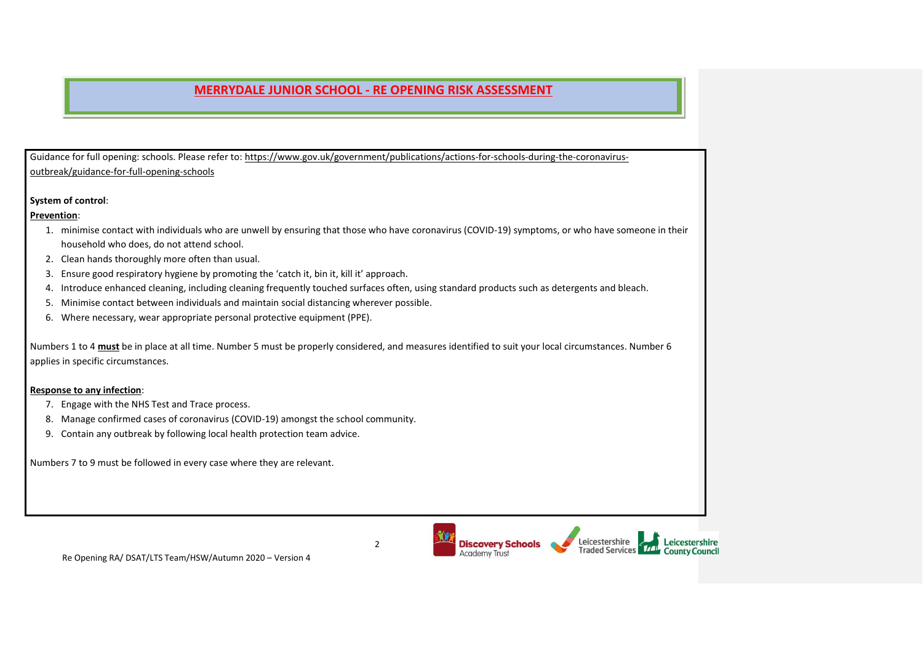Guidance for full opening: schools. Please refer to: [https://www.gov.uk/government/publications/actions-for-schools-during-the-coronavirus](https://www.gov.uk/government/publications/actions-for-schools-during-the-coronavirus-outbreak/guidance-for-full-opening-schools)[outbreak/guidance-for-full-opening-schools](https://www.gov.uk/government/publications/actions-for-schools-during-the-coronavirus-outbreak/guidance-for-full-opening-schools)

#### **System of control**:

**Prevention**:

- 1. minimise contact with individuals who are unwell by ensuring that those who have coronavirus (COVID-19) symptoms, or who have someone in their household who does, do not attend school.
- 2. Clean hands thoroughly more often than usual.
- 3. Ensure good respiratory hygiene by promoting the 'catch it, bin it, kill it' approach.
- 4. Introduce enhanced cleaning, including cleaning frequently touched surfaces often, using standard products such as detergents and bleach.
- 5. Minimise contact between individuals and maintain social distancing wherever possible.
- 6. Where necessary, wear appropriate personal protective equipment (PPE).

Numbers 1 to 4 **must** be in place at all time. Number 5 must be properly considered, and measures identified to suit your local circumstances. Number 6 applies in specific circumstances.

#### **Response to any infection**:

- 7. Engage with the NHS Test and Trace process.
- 8. Manage confirmed cases of coronavirus (COVID-19) amongst the school community.
- 9. Contain any outbreak by following local health protection team advice.

Numbers 7 to 9 must be followed in every case where they are relevant.



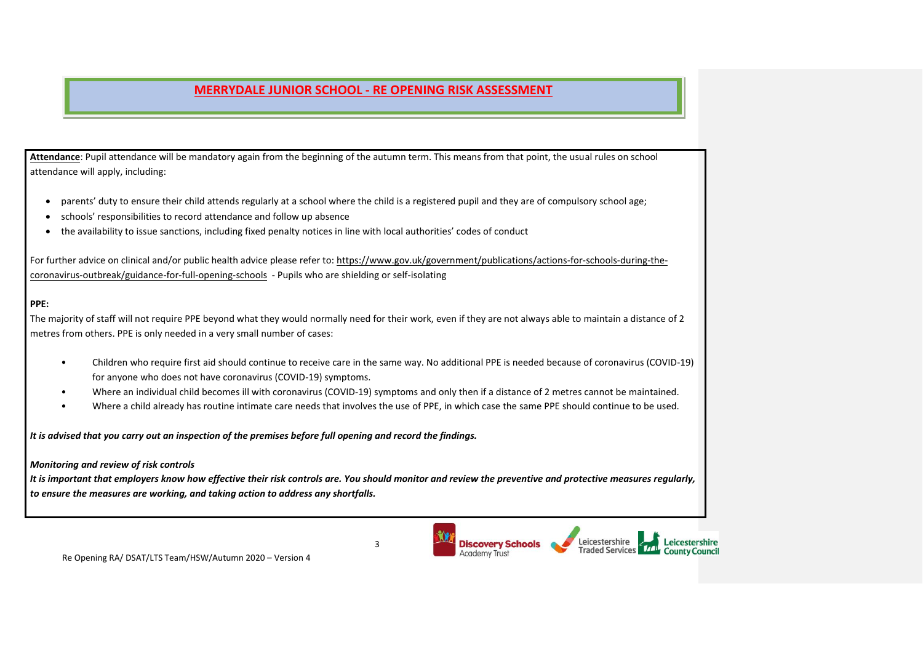**Attendance**: Pupil attendance will be mandatory again from the beginning of the autumn term. This means from that point, the usual rules on school attendance will apply, including:

- parents' duty to ensure their child attends regularly at a school where the child is a registered pupil and they are of compulsory school age;
- schools' responsibilities to record attendance and follow up absence
- the availability to issue sanctions, including fixed penalty notices in line with local authorities' codes of conduct

For further advice on clinical and/or public health advice please refer to: [https://www.gov.uk/government/publications/actions-for-schools-during-the](https://www.gov.uk/government/publications/actions-for-schools-during-the-coronavirus-outbreak/guidance-for-full-opening-schools)[coronavirus-outbreak/guidance-for-full-opening-schools](https://www.gov.uk/government/publications/actions-for-schools-during-the-coronavirus-outbreak/guidance-for-full-opening-schools) - Pupils who are shielding or self-isolating

#### **PPE:**

The majority of staff will not require PPE beyond what they would normally need for their work, even if they are not always able to maintain a distance of 2 metres from others. PPE is only needed in a very small number of cases:

- Children who require first aid should continue to receive care in the same way. No additional PPE is needed because of coronavirus (COVID-19) for anyone who does not have coronavirus (COVID-19) symptoms.
- Where an individual child becomes ill with coronavirus (COVID-19) symptoms and only then if a distance of 2 metres cannot be maintained.
- Where a child already has routine intimate care needs that involves the use of PPE, in which case the same PPE should continue to be used.

*It is advised that you carry out an inspection of the premises before full opening and record the findings.*

#### *Monitoring and review of risk controls*

*It is important that employers know how effective their risk controls are. You should monitor and review the preventive and protective measures regularly, to ensure the measures are working, and taking action to address any shortfalls.*



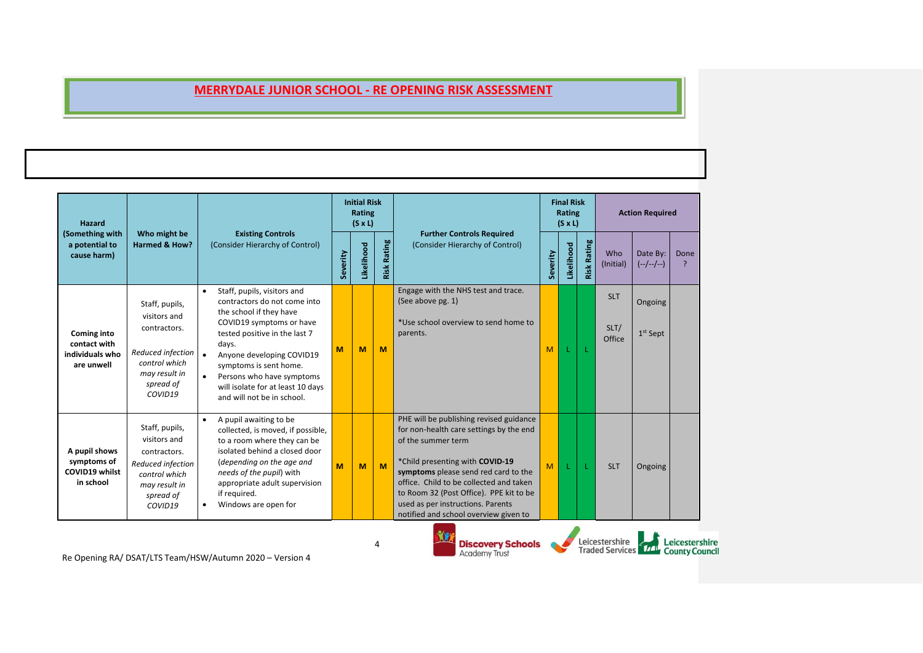| <b>Hazard</b>                                                |                                                                                                                               | Who might be<br><b>Existing Controls</b>                                                                                                                                                                                                                                                                                         |          | <b>Initial Risk</b><br>Rating<br>$(S \times L)$ | <b>Further Controls Required</b> |                                                                                                                                                                                                                                                                                                                                                         | <b>Final Risk</b><br>Rating<br>$(S \times L)$ |            | <b>Action Required</b> |                                          |                         |                                         |
|--------------------------------------------------------------|-------------------------------------------------------------------------------------------------------------------------------|----------------------------------------------------------------------------------------------------------------------------------------------------------------------------------------------------------------------------------------------------------------------------------------------------------------------------------|----------|-------------------------------------------------|----------------------------------|---------------------------------------------------------------------------------------------------------------------------------------------------------------------------------------------------------------------------------------------------------------------------------------------------------------------------------------------------------|-----------------------------------------------|------------|------------------------|------------------------------------------|-------------------------|-----------------------------------------|
| (Something with<br>a potential to<br>cause harm)             | <b>Harmed &amp; How?</b>                                                                                                      | (Consider Hierarchy of Control)                                                                                                                                                                                                                                                                                                  | Severity | Likelihood                                      | <b>Risk Rating</b>               | (Consider Hierarchy of Control)                                                                                                                                                                                                                                                                                                                         | Severity                                      | Likelihood | Rating<br>Risk         | Who<br>(Initial)                         | Date By:<br>$(-/-/-/-)$ | Done                                    |
| Coming into<br>contact with<br>individuals who<br>are unwell | Staff, pupils,<br>visitors and<br>contractors.<br>Reduced infection<br>control which<br>may result in<br>spread of<br>COVID19 | Staff, pupils, visitors and<br>$\bullet$<br>contractors do not come into<br>the school if they have<br>COVID19 symptoms or have<br>tested positive in the last 7<br>days.<br>Anyone developing COVID19<br>symptoms is sent home.<br>Persons who have symptoms<br>will isolate for at least 10 days<br>and will not be in school. | M        | M                                               | M                                | Engage with the NHS test and trace.<br>(See above pg. 1)<br>*Use school overview to send home to<br>parents.                                                                                                                                                                                                                                            | M                                             |            |                        | <b>SLT</b><br>SLT/<br>Office             | Ongoing<br>$1st$ Sept   |                                         |
| A pupil shows<br>symptoms of<br>COVID19 whilst<br>in school  | Staff, pupils,<br>visitors and<br>contractors.<br>Reduced infection<br>control which<br>may result in<br>spread of<br>COVID19 | A pupil awaiting to be<br>collected, is moved, if possible,<br>to a room where they can be<br>isolated behind a closed door<br>(depending on the age and<br>needs of the pupil) with<br>appropriate adult supervision<br>if required.<br>Windows are open for                                                                    | M        | M                                               | M                                | PHE will be publishing revised guidance<br>for non-health care settings by the end<br>of the summer term<br>*Child presenting with COVID-19<br>symptoms please send red card to the<br>office. Child to be collected and taken<br>to Room 32 (Post Office). PPE kit to be<br>used as per instructions. Parents<br>notified and school overview given to | M                                             |            |                        | <b>SLT</b>                               | Ongoing                 |                                         |
|                                                              |                                                                                                                               | Re Opening RA/ DSAT/LTS Team/HSW/Autumn 2020 - Version 4                                                                                                                                                                                                                                                                         |          |                                                 |                                  | Ñ.<br><b>Discovery Schools</b><br><b>Academy Trust</b>                                                                                                                                                                                                                                                                                                  |                                               |            |                        | Leicestershire<br><b>Traded Services</b> |                         | Leicestershire<br><b>County Council</b> |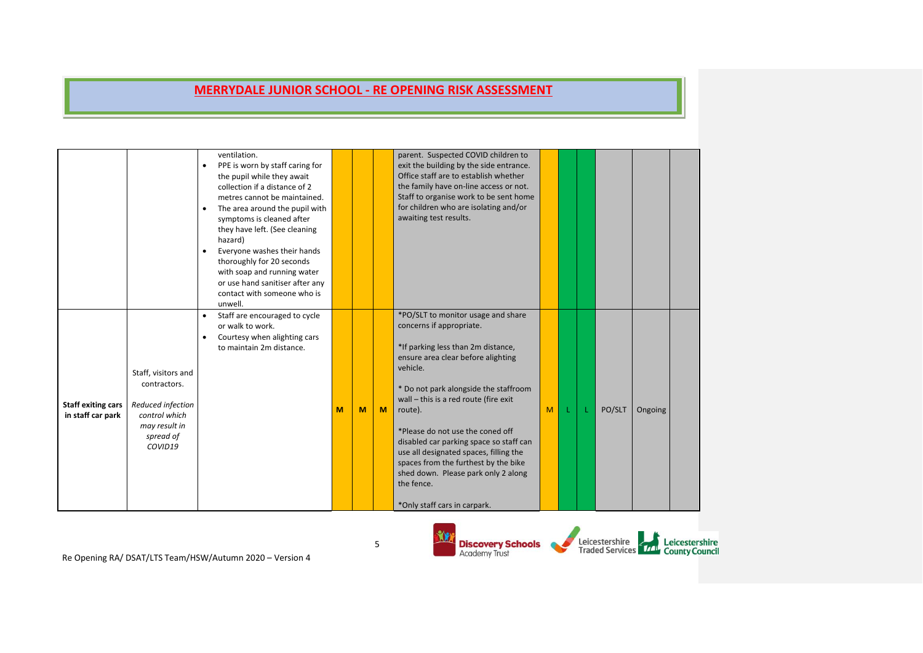|                                                |                                                                                                                    | ventilation.<br>PPE is worn by staff caring for<br>the pupil while they await<br>collection if a distance of 2<br>metres cannot be maintained.<br>The area around the pupil with<br>$\bullet$<br>symptoms is cleaned after<br>they have left. (See cleaning<br>hazard)<br>Everyone washes their hands<br>$\bullet$<br>thoroughly for 20 seconds<br>with soap and running water<br>or use hand sanitiser after any<br>contact with someone who is<br>unwell. |   |   |          | parent. Suspected COVID children to<br>exit the building by the side entrance.<br>Office staff are to establish whether<br>the family have on-line access or not.<br>Staff to organise work to be sent home<br>for children who are isolating and/or<br>awaiting test results.                                                                                                                                                                                                                            |   |  |        |         |  |
|------------------------------------------------|--------------------------------------------------------------------------------------------------------------------|-------------------------------------------------------------------------------------------------------------------------------------------------------------------------------------------------------------------------------------------------------------------------------------------------------------------------------------------------------------------------------------------------------------------------------------------------------------|---|---|----------|-----------------------------------------------------------------------------------------------------------------------------------------------------------------------------------------------------------------------------------------------------------------------------------------------------------------------------------------------------------------------------------------------------------------------------------------------------------------------------------------------------------|---|--|--------|---------|--|
| <b>Staff exiting cars</b><br>in staff car park | Staff, visitors and<br>contractors.<br>Reduced infection<br>control which<br>may result in<br>spread of<br>COVID19 | Staff are encouraged to cycle<br>$\bullet$<br>or walk to work.<br>Courtesy when alighting cars<br>$\bullet$<br>to maintain 2m distance.                                                                                                                                                                                                                                                                                                                     | M | M | <b>M</b> | *PO/SLT to monitor usage and share<br>concerns if appropriate.<br>*If parking less than 2m distance,<br>ensure area clear before alighting<br>vehicle.<br>* Do not park alongside the staffroom<br>wall - this is a red route (fire exit<br>route).<br>*Please do not use the coned off<br>disabled car parking space so staff can<br>use all designated spaces, filling the<br>spaces from the furthest by the bike<br>shed down. Please park only 2 along<br>the fence.<br>*Only staff cars in carpark. | M |  | PO/SLT | Ongoing |  |

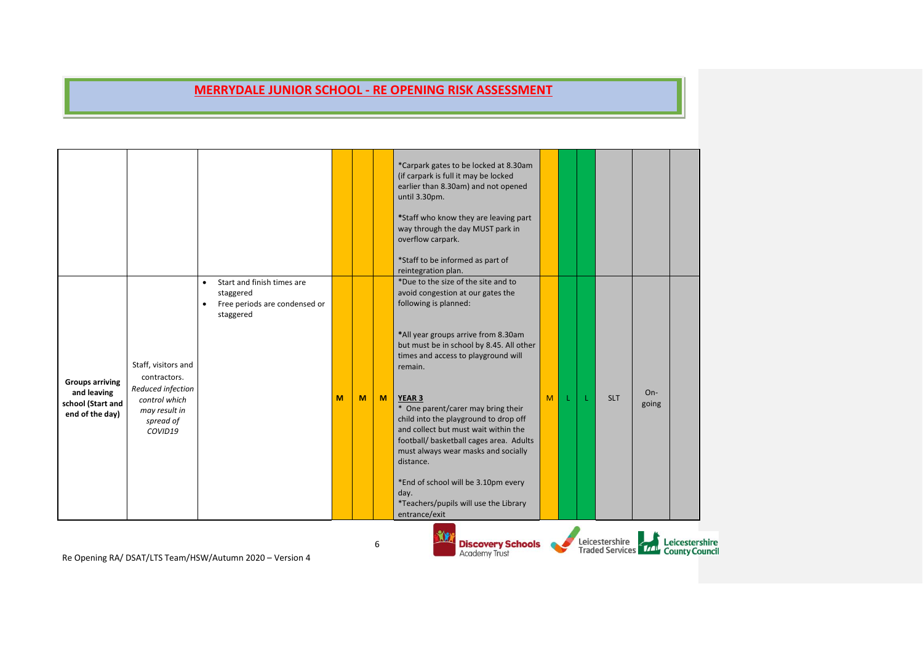|                                                                               |                                                                                                                    | Start and finish times are<br>$\bullet$                              |   |   |   | *Carpark gates to be locked at 8.30am<br>(if carpark is full it may be locked<br>earlier than 8.30am) and not opened<br>until 3.30pm.<br>*Staff who know they are leaving part<br>way through the day MUST park in<br>overflow carpark.<br>*Staff to be informed as part of<br>reintegration plan.<br>*Due to the size of the site and to                                                                                                                                                                                                       |   |  |                |                |                                                             |
|-------------------------------------------------------------------------------|--------------------------------------------------------------------------------------------------------------------|----------------------------------------------------------------------|---|---|---|-------------------------------------------------------------------------------------------------------------------------------------------------------------------------------------------------------------------------------------------------------------------------------------------------------------------------------------------------------------------------------------------------------------------------------------------------------------------------------------------------------------------------------------------------|---|--|----------------|----------------|-------------------------------------------------------------|
| <b>Groups arriving</b><br>and leaving<br>school (Start and<br>end of the day) | Staff, visitors and<br>contractors.<br>Reduced infection<br>control which<br>may result in<br>spread of<br>COVID19 | staggered<br>Free periods are condensed or<br>$\bullet$<br>staggered | M | M | M | avoid congestion at our gates the<br>following is planned:<br>*All year groups arrive from 8.30am<br>but must be in school by 8.45. All other<br>times and access to playground will<br>remain.<br><b>YEAR 3</b><br>* One parent/carer may bring their<br>child into the playground to drop off<br>and collect but must wait within the<br>football/ basketball cages area. Adults<br>must always wear masks and socially<br>distance.<br>*End of school will be 3.10pm every<br>day.<br>*Teachers/pupils will use the Library<br>entrance/exit | M |  | <b>SLT</b>     | $On-$<br>going |                                                             |
|                                                                               |                                                                                                                    | Be Opening BA / DEAT/LTE Team /HEW/Autumn 2020 Norsian A             |   |   |   | <b>Discovery Schools</b><br><b>Academy Trust</b>                                                                                                                                                                                                                                                                                                                                                                                                                                                                                                |   |  | Leicestershire |                | Leicestershire<br>Traded Services <b>TAL</b> County Council |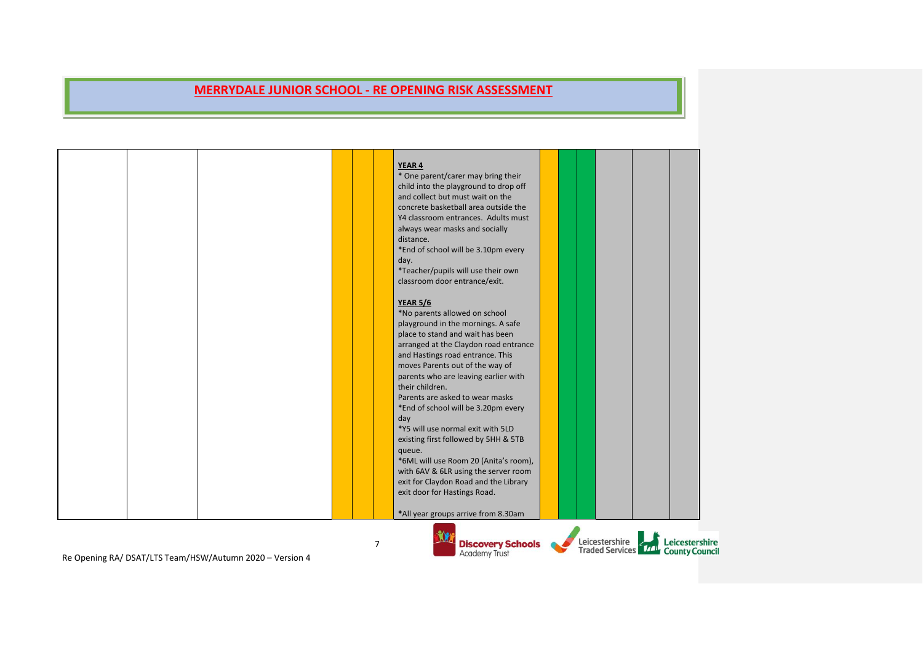|                                                          |  | YEAR 4                                           |  |                                                      |
|----------------------------------------------------------|--|--------------------------------------------------|--|------------------------------------------------------|
|                                                          |  | * One parent/carer may bring their               |  |                                                      |
|                                                          |  | child into the playground to drop off            |  |                                                      |
|                                                          |  | and collect but must wait on the                 |  |                                                      |
|                                                          |  | concrete basketball area outside the             |  |                                                      |
|                                                          |  | Y4 classroom entrances. Adults must              |  |                                                      |
|                                                          |  | always wear masks and socially                   |  |                                                      |
|                                                          |  | distance.                                        |  |                                                      |
|                                                          |  | *End of school will be 3.10pm every              |  |                                                      |
|                                                          |  | day.                                             |  |                                                      |
|                                                          |  | *Teacher/pupils will use their own               |  |                                                      |
|                                                          |  | classroom door entrance/exit.                    |  |                                                      |
|                                                          |  |                                                  |  |                                                      |
|                                                          |  | <b>YEAR 5/6</b>                                  |  |                                                      |
|                                                          |  | *No parents allowed on school                    |  |                                                      |
|                                                          |  | playground in the mornings. A safe               |  |                                                      |
|                                                          |  | place to stand and wait has been                 |  |                                                      |
|                                                          |  | arranged at the Claydon road entrance            |  |                                                      |
|                                                          |  | and Hastings road entrance. This                 |  |                                                      |
|                                                          |  | moves Parents out of the way of                  |  |                                                      |
|                                                          |  | parents who are leaving earlier with             |  |                                                      |
|                                                          |  | their children.                                  |  |                                                      |
|                                                          |  | Parents are asked to wear masks                  |  |                                                      |
|                                                          |  | *End of school will be 3.20pm every              |  |                                                      |
|                                                          |  | day                                              |  |                                                      |
|                                                          |  | *Y5 will use normal exit with 5LD                |  |                                                      |
|                                                          |  | existing first followed by 5HH & 5TB             |  |                                                      |
|                                                          |  | queue.                                           |  |                                                      |
|                                                          |  | *6ML will use Room 20 (Anita's room),            |  |                                                      |
|                                                          |  | with 6AV & 6LR using the server room             |  |                                                      |
|                                                          |  | exit for Claydon Road and the Library            |  |                                                      |
|                                                          |  | exit door for Hastings Road.                     |  |                                                      |
|                                                          |  |                                                  |  |                                                      |
|                                                          |  | *All year groups arrive from 8.30am              |  |                                                      |
|                                                          |  |                                                  |  |                                                      |
|                                                          |  |                                                  |  |                                                      |
| Be Opening BA/ DSAT/LTS Team/HSW/Autumn 2020 - Version 4 |  | <b>Discovery Schools</b><br><b>Academy Trust</b> |  | Leicestershire<br>Traded Services TAL County Council |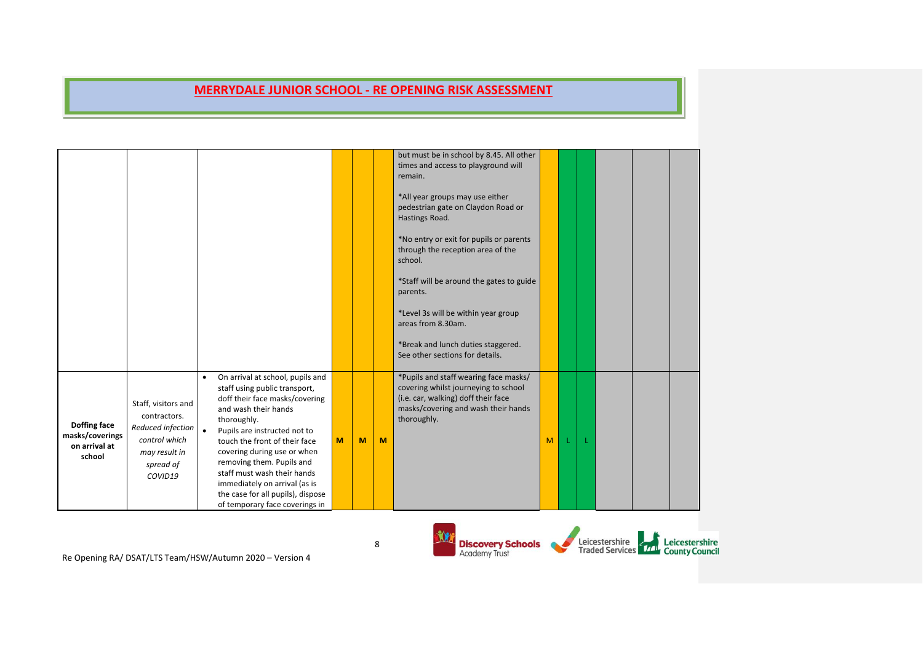|                                                            |                                                                                                                    |                        |                                                                                                                                                                                                                                                                                                                                                                                                                |   |   |   | but must be in school by 8.45. All other<br>times and access to playground will<br>remain.<br>*All year groups may use either<br>pedestrian gate on Claydon Road or<br>Hastings Road.<br>*No entry or exit for pupils or parents<br>through the reception area of the<br>school.<br>*Staff will be around the gates to guide<br>parents.<br>*Level 3s will be within year group<br>areas from 8.30am.<br>*Break and lunch duties staggered.<br>See other sections for details. |                |    |  |  |
|------------------------------------------------------------|--------------------------------------------------------------------------------------------------------------------|------------------------|----------------------------------------------------------------------------------------------------------------------------------------------------------------------------------------------------------------------------------------------------------------------------------------------------------------------------------------------------------------------------------------------------------------|---|---|---|--------------------------------------------------------------------------------------------------------------------------------------------------------------------------------------------------------------------------------------------------------------------------------------------------------------------------------------------------------------------------------------------------------------------------------------------------------------------------------|----------------|----|--|--|
| Doffing face<br>masks/coverings<br>on arrival at<br>school | Staff, visitors and<br>contractors.<br>Reduced infection<br>control which<br>may result in<br>spread of<br>COVID19 | $\bullet$<br>$\bullet$ | On arrival at school, pupils and<br>staff using public transport,<br>doff their face masks/covering<br>and wash their hands<br>thoroughly.<br>Pupils are instructed not to<br>touch the front of their face<br>covering during use or when<br>removing them. Pupils and<br>staff must wash their hands<br>immediately on arrival (as is<br>the case for all pupils), dispose<br>of temporary face coverings in | M | M | M | *Pupils and staff wearing face masks/<br>covering whilst journeying to school<br>(i.e. car, walking) doff their face<br>masks/covering and wash their hands<br>thoroughly.                                                                                                                                                                                                                                                                                                     | M <sub>1</sub> | -L |  |  |

8

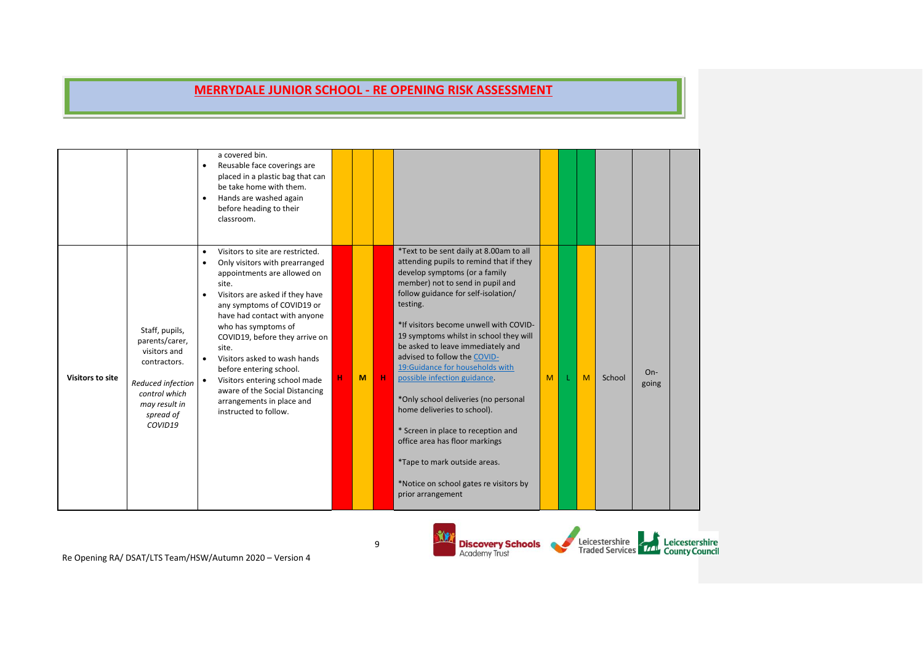|                         |                                                                                                                                                 | a covered bin.<br>Reusable face coverings are<br>$\bullet$<br>placed in a plastic bag that can<br>be take home with them.<br>Hands are washed again<br>٠<br>before heading to their<br>classroom.                                                                                                                                                                                                                                                                                           |    |   |             |                                                                                                                                                                                                                                                                                                                                                                                                                                                                                                                                                                                                                                                                                       |   |   |        |                |  |
|-------------------------|-------------------------------------------------------------------------------------------------------------------------------------------------|---------------------------------------------------------------------------------------------------------------------------------------------------------------------------------------------------------------------------------------------------------------------------------------------------------------------------------------------------------------------------------------------------------------------------------------------------------------------------------------------|----|---|-------------|---------------------------------------------------------------------------------------------------------------------------------------------------------------------------------------------------------------------------------------------------------------------------------------------------------------------------------------------------------------------------------------------------------------------------------------------------------------------------------------------------------------------------------------------------------------------------------------------------------------------------------------------------------------------------------------|---|---|--------|----------------|--|
| <b>Visitors to site</b> | Staff, pupils,<br>parents/carer,<br>visitors and<br>contractors.<br>Reduced infection<br>control which<br>may result in<br>spread of<br>COVID19 | Visitors to site are restricted.<br>$\bullet$<br>Only visitors with prearranged<br>$\bullet$<br>appointments are allowed on<br>site.<br>Visitors are asked if they have<br>any symptoms of COVID19 or<br>have had contact with anyone<br>who has symptoms of<br>COVID19, before they arrive on<br>site.<br>Visitors asked to wash hands<br>before entering school.<br>Visitors entering school made<br>aware of the Social Distancing<br>arrangements in place and<br>instructed to follow. | H. | M | $\mathbf H$ | *Text to be sent daily at 8.00am to all<br>attending pupils to remind that if they<br>develop symptoms (or a family<br>member) not to send in pupil and<br>follow guidance for self-isolation/<br>testing.<br>*If visitors become unwell with COVID-<br>19 symptoms whilst in school they will<br>be asked to leave immediately and<br>advised to follow the COVID-<br>19: Guidance for households with<br>possible infection guidance.<br>*Only school deliveries (no personal<br>home deliveries to school).<br>* Screen in place to reception and<br>office area has floor markings<br>*Tape to mark outside areas.<br>*Notice on school gates re visitors by<br>prior arrangement | M | M | School | $On-$<br>going |  |

9

**YX** Leicestershire<br>Traded Services Trans County Council **Discovery Schools**<br>Academy Trust G.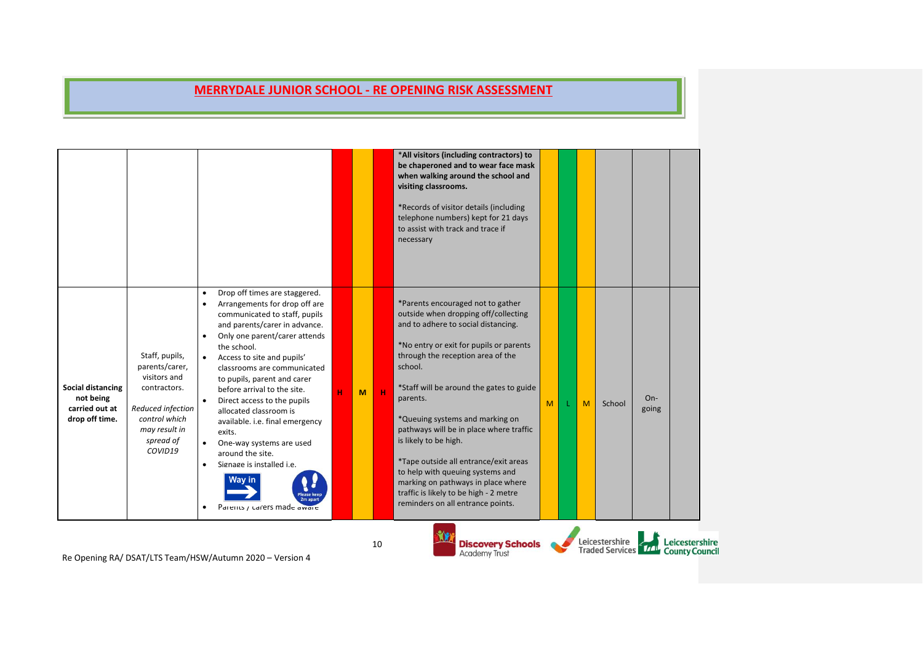|                                                                           |                                                                                                                                                 |                                                                                                                                                                                                                                                                                                                                                                                                                                                                                                                                                                                                                       |   |   |             | *All visitors (including contractors) to<br>be chaperoned and to wear face mask<br>when walking around the school and<br>visiting classrooms.<br>*Records of visitor details (including<br>telephone numbers) kept for 21 days<br>to assist with track and trace if<br>necessary                                                                                                                                                                                                                                                                                             |   |   |                |                |                                                     |
|---------------------------------------------------------------------------|-------------------------------------------------------------------------------------------------------------------------------------------------|-----------------------------------------------------------------------------------------------------------------------------------------------------------------------------------------------------------------------------------------------------------------------------------------------------------------------------------------------------------------------------------------------------------------------------------------------------------------------------------------------------------------------------------------------------------------------------------------------------------------------|---|---|-------------|------------------------------------------------------------------------------------------------------------------------------------------------------------------------------------------------------------------------------------------------------------------------------------------------------------------------------------------------------------------------------------------------------------------------------------------------------------------------------------------------------------------------------------------------------------------------------|---|---|----------------|----------------|-----------------------------------------------------|
| <b>Social distancing</b><br>not being<br>carried out at<br>drop off time. | Staff, pupils,<br>parents/carer,<br>visitors and<br>contractors.<br>Reduced infection<br>control which<br>may result in<br>spread of<br>COVID19 | Drop off times are staggered.<br>$\bullet$<br>Arrangements for drop off are<br>communicated to staff, pupils<br>and parents/carer in advance.<br>Only one parent/carer attends<br>$\bullet$<br>the school.<br>Access to site and pupils'<br>classrooms are communicated<br>to pupils, parent and carer<br>before arrival to the site.<br>Direct access to the pupils<br>$\bullet$<br>allocated classroom is<br>available. i.e. final emergency<br>exits.<br>One-way systems are used<br>around the site.<br>Signage is installed i.e.<br>$\bullet$<br>Vav in<br>lease kee<br>Parents / carers made aware<br>$\bullet$ | н | M | $\mathbf H$ | *Parents encouraged not to gather<br>outside when dropping off/collecting<br>and to adhere to social distancing.<br>*No entry or exit for pupils or parents<br>through the reception area of the<br>school.<br>*Staff will be around the gates to guide<br>parents.<br>*Queuing systems and marking on<br>pathways will be in place where traffic<br>is likely to be high.<br>*Tape outside all entrance/exit areas<br>to help with queuing systems and<br>marking on pathways in place where<br>traffic is likely to be high - 2 metre<br>reminders on all entrance points. | M | M | School         | $On-$<br>going |                                                     |
|                                                                           |                                                                                                                                                 | $Q_{\text{in}}$ $\frac{1}{2}$ $\frac{1}{2}$ $\frac{1}{2}$ $\frac{1}{2}$ $\frac{1}{2}$ $\frac{1}{2}$ $\frac{1}{2}$ $\frac{1}{2}$ $\frac{1}{2}$ $\frac{1}{2}$ $\frac{1}{2}$ $\frac{1}{2}$ $\frac{1}{2}$ $\frac{1}{2}$ $\frac{1}{2}$ $\frac{1}{2}$ $\frac{1}{2}$ $\frac{1}{2}$ $\frac{1}{2}$ $\frac{1}{2}$ $\frac{1}{2}$                                                                                                                                                                                                                                                                                                 |   |   | 10          | <b>Discovery Schools</b><br><b>Academy Trust</b>                                                                                                                                                                                                                                                                                                                                                                                                                                                                                                                             |   |   | Leicestershire |                | Leicestershire<br>Traded Services 77 County Council |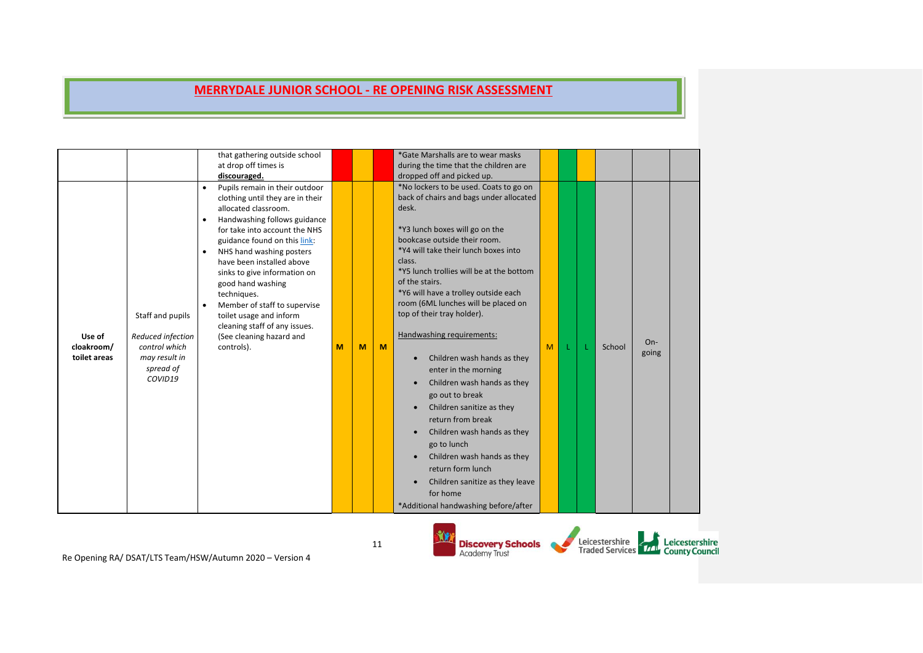| for home<br>*Additional handwashing before/after | that gathering outside school<br>*Gate Marshalls are to wear masks<br>at drop off times is<br>during the time that the children are<br>dropped off and picked up.<br>discouraged.<br>*No lockers to be used. Coats to go on<br>Pupils remain in their outdoor<br>back of chairs and bags under allocated<br>clothing until they are in their<br>allocated classroom.<br>desk.<br>Handwashing follows guidance<br>$\bullet$<br>*Y3 lunch boxes will go on the<br>for take into account the NHS<br>bookcase outside their room.<br>guidance found on this link:<br>*Y4 will take their lunch boxes into<br>NHS hand washing posters<br>class.<br>have been installed above<br>*Y5 lunch trollies will be at the bottom<br>sinks to give information on<br>of the stairs.<br>good hand washing<br>*Y6 will have a trolley outside each<br>techniques.<br>room (6ML lunches will be placed on<br>Member of staff to supervise<br>$\bullet$<br>top of their tray holder).<br>Staff and pupils<br>toilet usage and inform<br>cleaning staff of any issues.<br>Handwashing requirements:<br>Reduced infection<br>Use of<br>(See cleaning hazard and<br>$On-$<br>control which<br>cloakroom/<br>controls).<br>M<br>M<br>M<br>M<br>School<br>going<br>Children wash hands as they<br>toilet areas<br>may result in<br>$\bullet$<br>spread of<br>enter in the morning<br>COVID19<br>Children wash hands as they<br>go out to break<br>Children sanitize as they<br>return from break<br>Children wash hands as they<br>$\bullet$<br>go to lunch<br>Children wash hands as they<br>$\bullet$<br>return form lunch<br>Children sanitize as they leave |  |
|--------------------------------------------------|-------------------------------------------------------------------------------------------------------------------------------------------------------------------------------------------------------------------------------------------------------------------------------------------------------------------------------------------------------------------------------------------------------------------------------------------------------------------------------------------------------------------------------------------------------------------------------------------------------------------------------------------------------------------------------------------------------------------------------------------------------------------------------------------------------------------------------------------------------------------------------------------------------------------------------------------------------------------------------------------------------------------------------------------------------------------------------------------------------------------------------------------------------------------------------------------------------------------------------------------------------------------------------------------------------------------------------------------------------------------------------------------------------------------------------------------------------------------------------------------------------------------------------------------------------------------------------------------------------------------------------------------|--|
|--------------------------------------------------|-------------------------------------------------------------------------------------------------------------------------------------------------------------------------------------------------------------------------------------------------------------------------------------------------------------------------------------------------------------------------------------------------------------------------------------------------------------------------------------------------------------------------------------------------------------------------------------------------------------------------------------------------------------------------------------------------------------------------------------------------------------------------------------------------------------------------------------------------------------------------------------------------------------------------------------------------------------------------------------------------------------------------------------------------------------------------------------------------------------------------------------------------------------------------------------------------------------------------------------------------------------------------------------------------------------------------------------------------------------------------------------------------------------------------------------------------------------------------------------------------------------------------------------------------------------------------------------------------------------------------------------------|--|

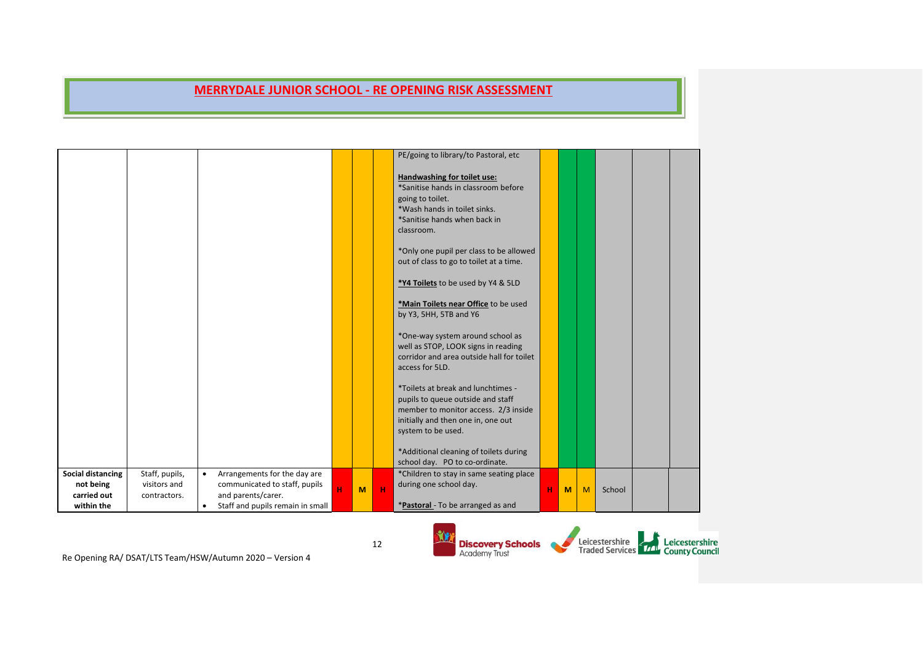|                                                             |                                                |           |                                                                                                                         |   |   |              | PE/going to library/to Pastoral, etc                                                                                                                                        |   |   |   |        |  |
|-------------------------------------------------------------|------------------------------------------------|-----------|-------------------------------------------------------------------------------------------------------------------------|---|---|--------------|-----------------------------------------------------------------------------------------------------------------------------------------------------------------------------|---|---|---|--------|--|
|                                                             |                                                |           |                                                                                                                         |   |   |              | Handwashing for toilet use:<br>*Sanitise hands in classroom before<br>going to toilet.<br>*Wash hands in toilet sinks.<br>*Sanitise hands when back in<br>classroom.        |   |   |   |        |  |
|                                                             |                                                |           |                                                                                                                         |   |   |              | *Only one pupil per class to be allowed<br>out of class to go to toilet at a time.                                                                                          |   |   |   |        |  |
|                                                             |                                                |           |                                                                                                                         |   |   |              | *Y4 Toilets to be used by Y4 & 5LD                                                                                                                                          |   |   |   |        |  |
|                                                             |                                                |           |                                                                                                                         |   |   |              | *Main Toilets near Office to be used<br>by Y3, 5HH, 5TB and Y6                                                                                                              |   |   |   |        |  |
|                                                             |                                                |           |                                                                                                                         |   |   |              | *One-way system around school as<br>well as STOP, LOOK signs in reading<br>corridor and area outside hall for toilet<br>access for 5LD.                                     |   |   |   |        |  |
|                                                             |                                                |           |                                                                                                                         |   |   |              | *Toilets at break and lunchtimes -<br>pupils to queue outside and staff<br>member to monitor access. 2/3 inside<br>initially and then one in, one out<br>system to be used. |   |   |   |        |  |
|                                                             |                                                |           |                                                                                                                         |   |   |              | *Additional cleaning of toilets during<br>school day. PO to co-ordinate.                                                                                                    |   |   |   |        |  |
| Social distancing<br>not being<br>carried out<br>within the | Staff, pupils,<br>visitors and<br>contractors. | $\bullet$ | Arrangements for the day are<br>communicated to staff, pupils<br>and parents/carer.<br>Staff and pupils remain in small | H | M | $\mathbf{H}$ | *Children to stay in same seating place<br>during one school day.<br>*Pastoral - To be arranged as and                                                                      | н | M | M | School |  |



Re Opening RA/ DSAT/LTS Team/HSW/Autumn 2020 – Version 4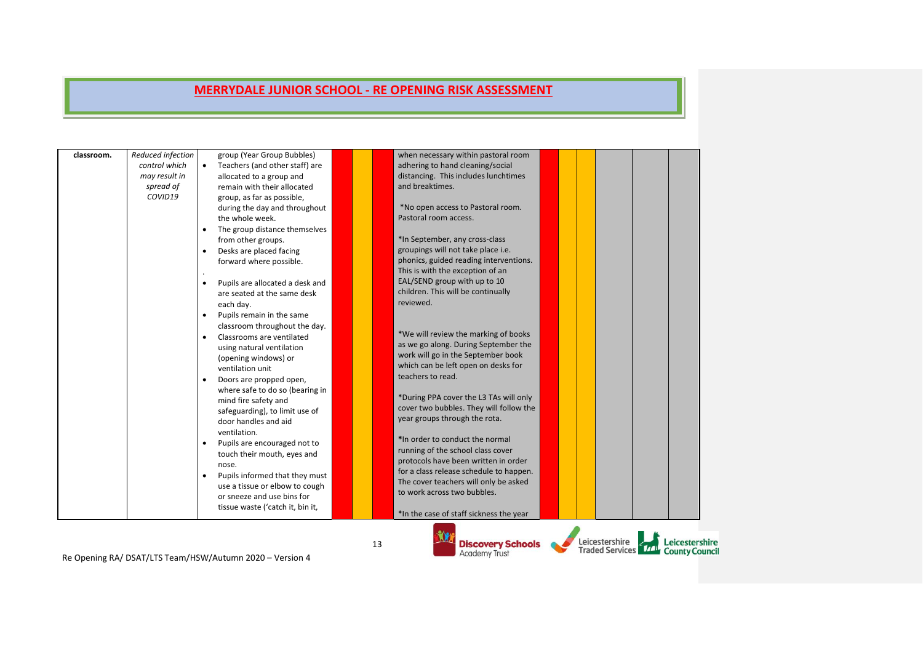|            |                                                                             |                                                                            | Be Opening BA/ DSAT/LTS Team/HSW/Autumn 2020 - Version A                                                                                                                                                                                                                                                                                                                                                                                                                                                                                                                                                                                                                                                                                                                                                                                                                                                                                                | 13 | <b>Discovery Schools</b><br><b>Academy Trust</b>                                                                                                                                                                                                                                                                                                                                                                                                                                                                                                                                                                                                                                                                                                                                                                                                                                                                                                                                                                                |  | Leicestershire | Traded Services <b>TTT</b> County Coun |
|------------|-----------------------------------------------------------------------------|----------------------------------------------------------------------------|---------------------------------------------------------------------------------------------------------------------------------------------------------------------------------------------------------------------------------------------------------------------------------------------------------------------------------------------------------------------------------------------------------------------------------------------------------------------------------------------------------------------------------------------------------------------------------------------------------------------------------------------------------------------------------------------------------------------------------------------------------------------------------------------------------------------------------------------------------------------------------------------------------------------------------------------------------|----|---------------------------------------------------------------------------------------------------------------------------------------------------------------------------------------------------------------------------------------------------------------------------------------------------------------------------------------------------------------------------------------------------------------------------------------------------------------------------------------------------------------------------------------------------------------------------------------------------------------------------------------------------------------------------------------------------------------------------------------------------------------------------------------------------------------------------------------------------------------------------------------------------------------------------------------------------------------------------------------------------------------------------------|--|----------------|----------------------------------------|
| classroom. | Reduced infection<br>control which<br>may result in<br>spread of<br>COVID19 | $\bullet$<br>$\bullet$<br>$\bullet$<br>$\bullet$<br>$\bullet$<br>$\bullet$ | group (Year Group Bubbles)<br>Teachers (and other staff) are<br>allocated to a group and<br>remain with their allocated<br>group, as far as possible,<br>during the day and throughout<br>the whole week.<br>The group distance themselves<br>from other groups.<br>Desks are placed facing<br>forward where possible.<br>Pupils are allocated a desk and<br>are seated at the same desk<br>each day.<br>Pupils remain in the same<br>classroom throughout the day.<br>Classrooms are ventilated<br>using natural ventilation<br>(opening windows) or<br>ventilation unit<br>Doors are propped open,<br>where safe to do so (bearing in<br>mind fire safety and<br>safeguarding), to limit use of<br>door handles and aid<br>ventilation.<br>Pupils are encouraged not to<br>touch their mouth, eyes and<br>nose.<br>Pupils informed that they must<br>use a tissue or elbow to cough<br>or sneeze and use bins for<br>tissue waste ('catch it, bin it, |    | when necessary within pastoral room<br>adhering to hand cleaning/social<br>distancing. This includes lunchtimes<br>and breaktimes.<br>*No open access to Pastoral room.<br>Pastoral room access.<br>*In September, any cross-class<br>groupings will not take place i.e.<br>phonics, guided reading interventions.<br>This is with the exception of an<br>EAL/SEND group with up to 10<br>children. This will be continually<br>reviewed.<br>*We will review the marking of books<br>as we go along. During September the<br>work will go in the September book<br>which can be left open on desks for<br>teachers to read.<br>*During PPA cover the L3 TAs will only<br>cover two bubbles. They will follow the<br>year groups through the rota.<br>*In order to conduct the normal<br>running of the school class cover<br>protocols have been written in order<br>for a class release schedule to happen.<br>The cover teachers will only be asked<br>to work across two bubbles.<br>*In the case of staff sickness the year |  |                |                                        |
|            |                                                                             |                                                                            |                                                                                                                                                                                                                                                                                                                                                                                                                                                                                                                                                                                                                                                                                                                                                                                                                                                                                                                                                         |    |                                                                                                                                                                                                                                                                                                                                                                                                                                                                                                                                                                                                                                                                                                                                                                                                                                                                                                                                                                                                                                 |  |                |                                        |

Re Opening RA/ DSAT/LTS Team/HSW/Autumn 2020 – Version 4

Leicestershire<br>Traded Services<br>County Council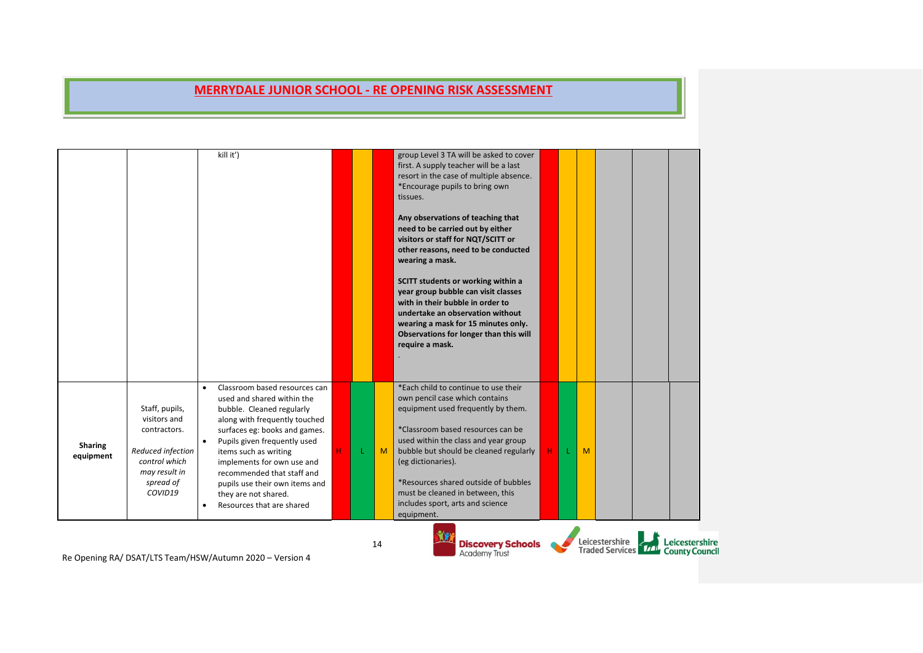|                             |                                                                                                                               | kill it')<br>Classroom based resources can<br>$\bullet$                                                                                                                                                                                                                                                                                                         |   |    | group Level 3 TA will be asked to cover<br>first. A supply teacher will be a last<br>resort in the case of multiple absence.<br>*Encourage pupils to bring own<br>tissues.<br>Any observations of teaching that<br>need to be carried out by either<br>visitors or staff for NQT/SCITT or<br>other reasons, need to be conducted<br>wearing a mask.<br>SCITT students or working within a<br>year group bubble can visit classes<br>with in their bubble in order to<br>undertake an observation without<br>wearing a mask for 15 minutes only.<br>Observations for longer than this will<br>require a mask.<br>*Each child to continue to use their |   |   |                                                     |                |
|-----------------------------|-------------------------------------------------------------------------------------------------------------------------------|-----------------------------------------------------------------------------------------------------------------------------------------------------------------------------------------------------------------------------------------------------------------------------------------------------------------------------------------------------------------|---|----|------------------------------------------------------------------------------------------------------------------------------------------------------------------------------------------------------------------------------------------------------------------------------------------------------------------------------------------------------------------------------------------------------------------------------------------------------------------------------------------------------------------------------------------------------------------------------------------------------------------------------------------------------|---|---|-----------------------------------------------------|----------------|
| <b>Sharing</b><br>equipment | Staff, pupils,<br>visitors and<br>contractors.<br>Reduced infection<br>control which<br>may result in<br>spread of<br>COVID19 | used and shared within the<br>bubble. Cleaned regularly<br>along with frequently touched<br>surfaces eg: books and games.<br>Pupils given frequently used<br>$\bullet$<br>items such as writing<br>implements for own use and<br>recommended that staff and<br>pupils use their own items and<br>they are not shared.<br>Resources that are shared<br>$\bullet$ | H | M  | own pencil case which contains<br>equipment used frequently by them.<br>*Classroom based resources can be<br>used within the class and year group<br>bubble but should be cleaned regularly<br>(eg dictionaries).<br>*Resources shared outside of bubbles<br>must be cleaned in between, this<br>includes sport, arts and science<br>equipment.                                                                                                                                                                                                                                                                                                      | н | M |                                                     |                |
|                             |                                                                                                                               | Be Opening $PA/DRAT/IR$ TS Team/HSW/Autumn $2020 - Varsion A$                                                                                                                                                                                                                                                                                                   |   | 14 | <b>Discovery Schools</b><br><b>Academy Trust</b>                                                                                                                                                                                                                                                                                                                                                                                                                                                                                                                                                                                                     |   |   | Leicestershire<br>Traded Services 77 County Council | Leicestershire |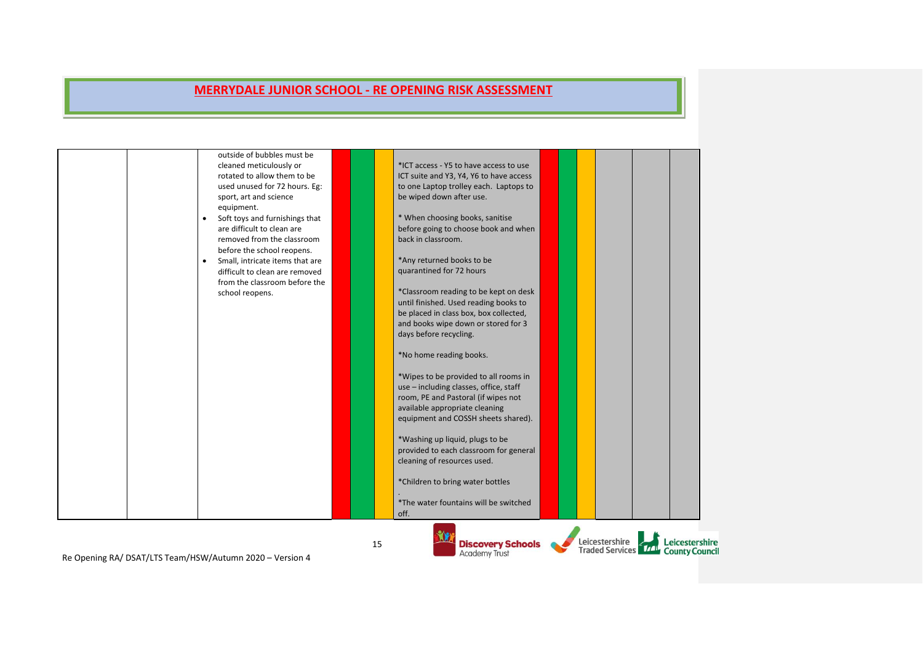|                                                          | outside of bubbles must be<br>cleaned meticulously or<br>rotated to allow them to be<br>used unused for 72 hours. Eg:<br>sport, art and science<br>equipment.<br>Soft toys and furnishings that<br>$\bullet$<br>are difficult to clean are<br>removed from the classroom<br>before the school reopens.<br>Small, intricate items that are<br>$\bullet$<br>difficult to clean are removed<br>from the classroom before the<br>school reopens. |    | *ICT access - Y5 to have access to use<br>ICT suite and Y3, Y4, Y6 to have access<br>to one Laptop trolley each. Laptops to<br>be wiped down after use.<br>* When choosing books, sanitise<br>before going to choose book and when<br>back in classroom.<br>*Any returned books to be<br>quarantined for 72 hours<br>*Classroom reading to be kept on desk<br>until finished. Used reading books to<br>be placed in class box, box collected,<br>and books wipe down or stored for 3<br>days before recycling.<br>*No home reading books.<br>*Wipes to be provided to all rooms in<br>use - including classes, office, staff<br>room, PE and Pastoral (if wipes not<br>available appropriate cleaning<br>equipment and COSSH sheets shared).<br>*Washing up liquid, plugs to be<br>provided to each classroom for general<br>cleaning of resources used.<br>*Children to bring water bottles<br>*The water fountains will be switched<br>off. |                                                                       |
|----------------------------------------------------------|----------------------------------------------------------------------------------------------------------------------------------------------------------------------------------------------------------------------------------------------------------------------------------------------------------------------------------------------------------------------------------------------------------------------------------------------|----|-----------------------------------------------------------------------------------------------------------------------------------------------------------------------------------------------------------------------------------------------------------------------------------------------------------------------------------------------------------------------------------------------------------------------------------------------------------------------------------------------------------------------------------------------------------------------------------------------------------------------------------------------------------------------------------------------------------------------------------------------------------------------------------------------------------------------------------------------------------------------------------------------------------------------------------------------|-----------------------------------------------------------------------|
| Be Opening BA / DEAT/LTE Team (HEW/Autumn 2020 Nersian A |                                                                                                                                                                                                                                                                                                                                                                                                                                              | 15 | <b>Discovery Schools</b><br><b>Academy Trust</b>                                                                                                                                                                                                                                                                                                                                                                                                                                                                                                                                                                                                                                                                                                                                                                                                                                                                                              | Leicestershire<br>Leicestershire<br>Traded Services 77 County Council |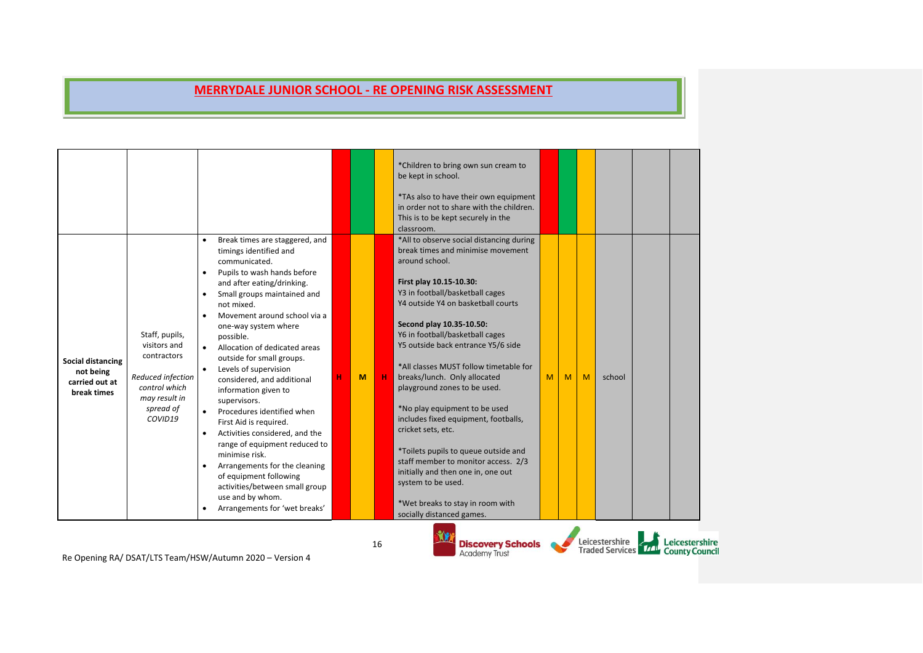| Social distancing<br>not being<br>carried out at<br>break times | Staff, pupils,<br>visitors and<br>contractors<br>Reduced infection<br>control which<br>may result in<br>spread of<br>COVID19 | Break times are staggered, and<br>timings identified and<br>communicated.<br>Pupils to wash hands before<br>$\bullet$<br>and after eating/drinking.<br>Small groups maintained and<br>$\bullet$<br>not mixed.<br>Movement around school via a<br>one-way system where<br>possible.<br>Allocation of dedicated areas<br>outside for small groups.<br>Levels of supervision<br>considered, and additional<br>information given to<br>supervisors.<br>Procedures identified when<br>First Aid is required.<br>Activities considered, and the<br>$\bullet$<br>range of equipment reduced to<br>minimise risk.<br>Arrangements for the cleaning<br>of equipment following | M | н  | *Children to bring own sun cream to<br>be kept in school.<br>*TAs also to have their own equipment<br>in order not to share with the children.<br>This is to be kept securely in the<br>classroom.<br>*All to observe social distancing during<br>break times and minimise movement<br>around school.<br>First play 10.15-10.30:<br>Y3 in football/basketball cages<br>Y4 outside Y4 on basketball courts<br>Second play 10.35-10.50:<br>Y6 in football/basketball cages<br>Y5 outside back entrance Y5/6 side<br>*All classes MUST follow timetable for<br>breaks/lunch. Only allocated<br>playground zones to be used.<br>*No play equipment to be used<br>includes fixed equipment, footballs,<br>cricket sets, etc.<br>*Toilets pupils to queue outside and<br>staff member to monitor access. 2/3<br>initially and then one in, one out<br>system to be used. | M | M | M | school                                   |                                         |
|-----------------------------------------------------------------|------------------------------------------------------------------------------------------------------------------------------|----------------------------------------------------------------------------------------------------------------------------------------------------------------------------------------------------------------------------------------------------------------------------------------------------------------------------------------------------------------------------------------------------------------------------------------------------------------------------------------------------------------------------------------------------------------------------------------------------------------------------------------------------------------------|---|----|--------------------------------------------------------------------------------------------------------------------------------------------------------------------------------------------------------------------------------------------------------------------------------------------------------------------------------------------------------------------------------------------------------------------------------------------------------------------------------------------------------------------------------------------------------------------------------------------------------------------------------------------------------------------------------------------------------------------------------------------------------------------------------------------------------------------------------------------------------------------|---|---|---|------------------------------------------|-----------------------------------------|
|                                                                 |                                                                                                                              | activities/between small group<br>use and by whom.<br>Arrangements for 'wet breaks'<br>$\bullet$                                                                                                                                                                                                                                                                                                                                                                                                                                                                                                                                                                     |   |    | *Wet breaks to stay in room with<br>socially distanced games.                                                                                                                                                                                                                                                                                                                                                                                                                                                                                                                                                                                                                                                                                                                                                                                                      |   |   |   |                                          |                                         |
|                                                                 |                                                                                                                              | Re Opening RA/ DSAT/LTS Team/HSW/Autumn 2020 - Version 4                                                                                                                                                                                                                                                                                                                                                                                                                                                                                                                                                                                                             |   | 16 | <b>Discovery Schools</b><br><b>Academy Trust</b>                                                                                                                                                                                                                                                                                                                                                                                                                                                                                                                                                                                                                                                                                                                                                                                                                   |   |   |   | Leicestershire<br><b>Traded Services</b> | Leicestershire<br><b>County Council</b> |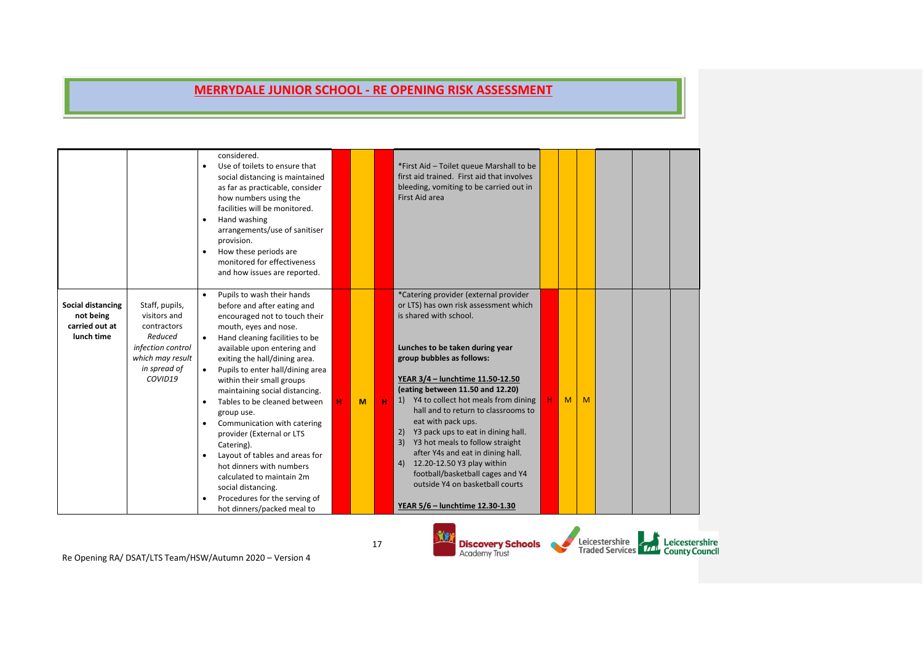|                                                                |                                                                                                                              | considered.<br>Use of toilets to ensure that<br>social distancing is maintained<br>as far as practicable, consider<br>how numbers using the<br>facilities will be monitored.<br>Hand washing<br>arrangements/use of sanitiser<br>provision.<br>How these periods are<br>$\bullet$<br>monitored for effectiveness<br>and how issues are reported.                                                                                                                                                                                                                                                                                                           |   |   | *First Aid - Toilet queue Marshall to be<br>first aid trained. First aid that involves<br>bleeding, vomiting to be carried out in<br>First Aid area                                                                                                                                                                                                                                                                                                                                                                                                                                                                       |    |   |   |  |  |
|----------------------------------------------------------------|------------------------------------------------------------------------------------------------------------------------------|------------------------------------------------------------------------------------------------------------------------------------------------------------------------------------------------------------------------------------------------------------------------------------------------------------------------------------------------------------------------------------------------------------------------------------------------------------------------------------------------------------------------------------------------------------------------------------------------------------------------------------------------------------|---|---|---------------------------------------------------------------------------------------------------------------------------------------------------------------------------------------------------------------------------------------------------------------------------------------------------------------------------------------------------------------------------------------------------------------------------------------------------------------------------------------------------------------------------------------------------------------------------------------------------------------------------|----|---|---|--|--|
| Social distancing<br>not being<br>carried out at<br>lunch time | Staff, pupils,<br>visitors and<br>contractors<br>Reduced<br>infection control<br>which may result<br>in spread of<br>COVID19 | Pupils to wash their hands<br>$\bullet$<br>before and after eating and<br>encouraged not to touch their<br>mouth, eyes and nose.<br>Hand cleaning facilities to be<br>available upon entering and<br>exiting the hall/dining area.<br>Pupils to enter hall/dining area<br>within their small groups<br>maintaining social distancing.<br>Tables to be cleaned between<br>group use.<br>Communication with catering<br>$\bullet$<br>provider (External or LTS<br>Catering).<br>Layout of tables and areas for<br>hot dinners with numbers<br>calculated to maintain 2m<br>social distancing.<br>Procedures for the serving of<br>hot dinners/packed meal to | M | н | *Catering provider (external provider<br>or LTS) has own risk assessment which<br>is shared with school.<br>Lunches to be taken during year<br>group bubbles as follows:<br>YEAR 3/4 - lunchtime 11.50-12.50<br>(eating between 11.50 and 12.20)<br>1) Y4 to collect hot meals from dining<br>hall and to return to classrooms to<br>eat with pack ups.<br>Y3 pack ups to eat in dining hall.<br>2)<br>3) Y3 hot meals to follow straight<br>after Y4s and eat in dining hall.<br>4) 12.20-12.50 Y3 play within<br>football/basketball cages and Y4<br>outside Y4 on basketball courts<br>YEAR 5/6 - lunchtime 12.30-1.30 | н. | M | M |  |  |

Leicestershire<br>Traded Services Trans County Council **ALL Discovery Schools**<br>Academy Trust C.

Re Opening RA/ DSAT/LTS Team/HSW/Autumn 2020 – Version 4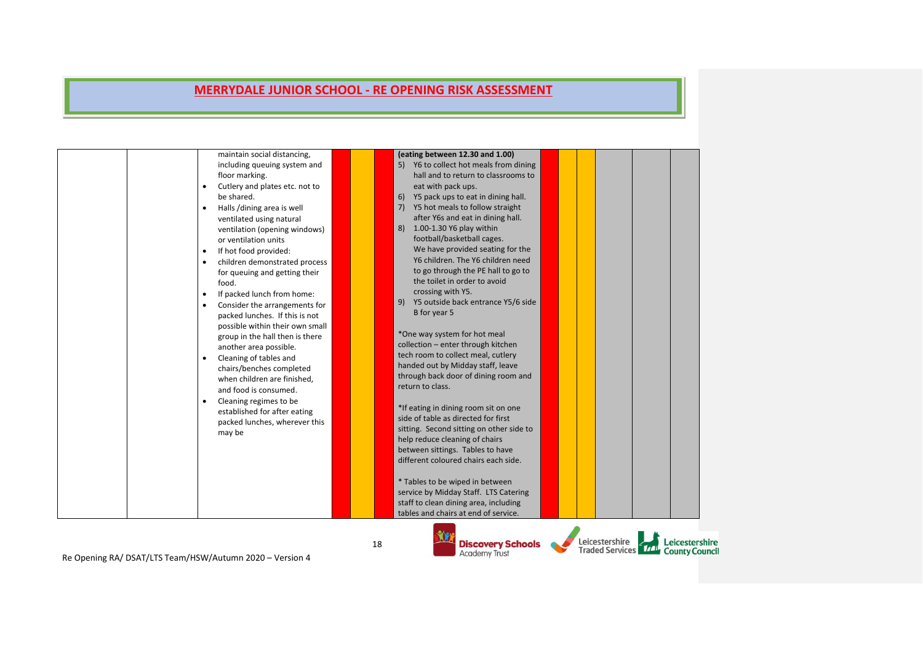|                                                            | maintain social distancing,<br>including queuing system and<br>floor marking.<br>Cutlery and plates etc. not to<br>be shared.<br>Halls /dining area is well<br>ventilated using natural<br>ventilation (opening windows)<br>or ventilation units<br>If hot food provided:<br>$\bullet$<br>children demonstrated process<br>for queuing and getting their<br>food.<br>If packed lunch from home:<br>Consider the arrangements for<br>packed lunches. If this is not<br>possible within their own small<br>group in the hall then is there<br>another area possible.<br>Cleaning of tables and<br>chairs/benches completed<br>when children are finished,<br>and food is consumed.<br>Cleaning regimes to be<br>established for after eating<br>packed lunches, wherever this<br>may be |    | (eating between 12.30 and 1.00)<br>5) Y6 to collect hot meals from dining<br>hall and to return to classrooms to<br>eat with pack ups.<br>Y5 pack ups to eat in dining hall.<br>6)<br>Y5 hot meals to follow straight<br>7)<br>after Y6s and eat in dining hall.<br>8) 1.00-1.30 Y6 play within<br>football/basketball cages.<br>We have provided seating for the<br>Y6 children. The Y6 children need<br>to go through the PE hall to go to<br>the toilet in order to avoid<br>crossing with Y5.<br>9) Y5 outside back entrance Y5/6 side<br>B for year 5<br>*One way system for hot meal<br>collection - enter through kitchen<br>tech room to collect meal, cutlery<br>handed out by Midday staff, leave<br>through back door of dining room and<br>return to class.<br>*If eating in dining room sit on one<br>side of table as directed for first<br>sitting. Second sitting on other side to<br>help reduce cleaning of chairs<br>between sittings. Tables to have<br>different coloured chairs each side.<br>* Tables to be wiped in between<br>service by Midday Staff. LTS Catering<br>staff to clean dining area, including<br>tables and chairs at end of service. |                                                     |                |
|------------------------------------------------------------|---------------------------------------------------------------------------------------------------------------------------------------------------------------------------------------------------------------------------------------------------------------------------------------------------------------------------------------------------------------------------------------------------------------------------------------------------------------------------------------------------------------------------------------------------------------------------------------------------------------------------------------------------------------------------------------------------------------------------------------------------------------------------------------|----|-------------------------------------------------------------------------------------------------------------------------------------------------------------------------------------------------------------------------------------------------------------------------------------------------------------------------------------------------------------------------------------------------------------------------------------------------------------------------------------------------------------------------------------------------------------------------------------------------------------------------------------------------------------------------------------------------------------------------------------------------------------------------------------------------------------------------------------------------------------------------------------------------------------------------------------------------------------------------------------------------------------------------------------------------------------------------------------------------------------------------------------------------------------------------------|-----------------------------------------------------|----------------|
| Re Onening RA / DSAT/LTS Team /HSW/Autumn 2020 - Version A |                                                                                                                                                                                                                                                                                                                                                                                                                                                                                                                                                                                                                                                                                                                                                                                       | 18 | <b>Discovery Schools</b><br><b>Academy Trust</b>                                                                                                                                                                                                                                                                                                                                                                                                                                                                                                                                                                                                                                                                                                                                                                                                                                                                                                                                                                                                                                                                                                                              | Leicestershire<br>Traded Services 17 County Council | Leicestershire |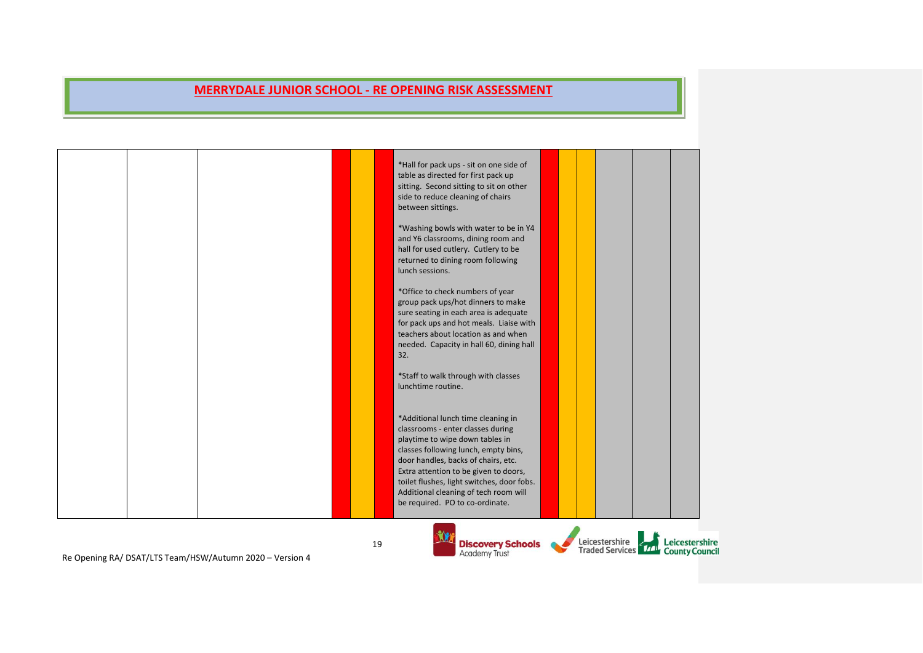| Re Opening RA/ DSAT/LTS Team/HSW/Autumn 2020 - Version 4 | 19 | <b>Discovery Schools</b><br><b>Academy Trust</b>                                                                                                                                                                                                                                                                                                             | Leicestershire | Leicestershire<br>Traded Services <b>The County Council</b> |
|----------------------------------------------------------|----|--------------------------------------------------------------------------------------------------------------------------------------------------------------------------------------------------------------------------------------------------------------------------------------------------------------------------------------------------------------|----------------|-------------------------------------------------------------|
|                                                          |    | *Additional lunch time cleaning in<br>classrooms - enter classes during<br>playtime to wipe down tables in<br>classes following lunch, empty bins,<br>door handles, backs of chairs, etc.<br>Extra attention to be given to doors,<br>toilet flushes, light switches, door fobs.<br>Additional cleaning of tech room will<br>be required. PO to co-ordinate. |                |                                                             |
|                                                          |    | *Staff to walk through with classes<br>lunchtime routine.                                                                                                                                                                                                                                                                                                    |                |                                                             |
|                                                          |    | *Office to check numbers of year<br>group pack ups/hot dinners to make<br>sure seating in each area is adequate<br>for pack ups and hot meals. Liaise with<br>teachers about location as and when<br>needed. Capacity in hall 60, dining hall<br>32.                                                                                                         |                |                                                             |
|                                                          |    | *Washing bowls with water to be in Y4<br>and Y6 classrooms, dining room and<br>hall for used cutlery. Cutlery to be<br>returned to dining room following<br>lunch sessions.                                                                                                                                                                                  |                |                                                             |
|                                                          |    | *Hall for pack ups - sit on one side of<br>table as directed for first pack up<br>sitting. Second sitting to sit on other<br>side to reduce cleaning of chairs<br>between sittings.                                                                                                                                                                          |                |                                                             |

Re Opening RA/ DSAT/LTS Team/HSW/Autumn 2020 – Version 4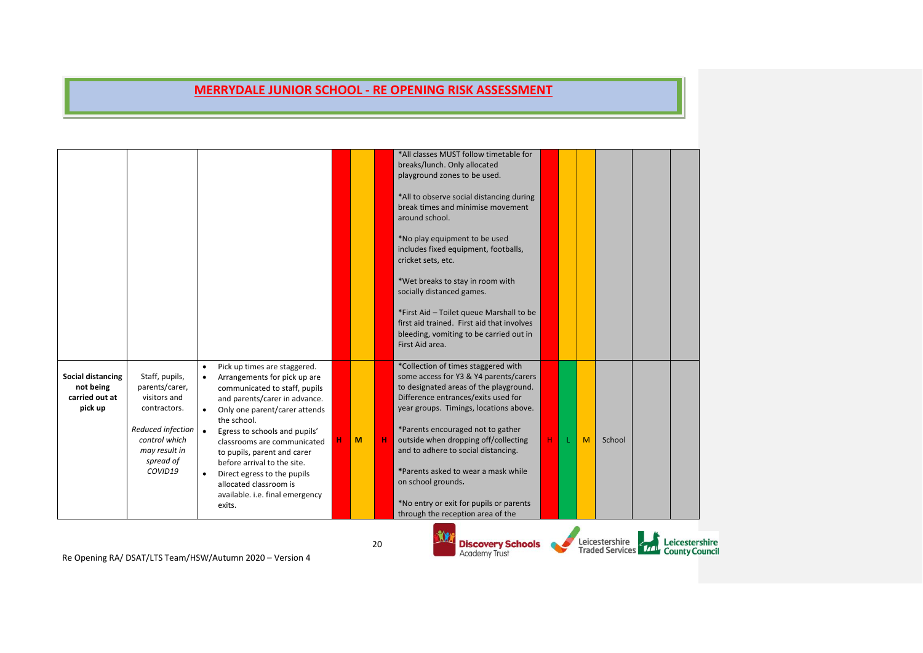|                                                                    |                                                                                                                                                 |                                                  |                                                                                                                                                                                                                                                                                                                                                                                                                    |   |    | *All classes MUST follow timetable for<br>breaks/lunch. Only allocated<br>playground zones to be used.<br>*All to observe social distancing during<br>break times and minimise movement<br>around school.<br>*No play equipment to be used<br>includes fixed equipment, footballs,<br>cricket sets, etc.<br>*Wet breaks to stay in room with<br>socially distanced games.<br>*First Aid - Toilet queue Marshall to be<br>first aid trained. First aid that involves<br>bleeding, vomiting to be carried out in<br>First Aid area. |   |   |                |                                                     |
|--------------------------------------------------------------------|-------------------------------------------------------------------------------------------------------------------------------------------------|--------------------------------------------------|--------------------------------------------------------------------------------------------------------------------------------------------------------------------------------------------------------------------------------------------------------------------------------------------------------------------------------------------------------------------------------------------------------------------|---|----|-----------------------------------------------------------------------------------------------------------------------------------------------------------------------------------------------------------------------------------------------------------------------------------------------------------------------------------------------------------------------------------------------------------------------------------------------------------------------------------------------------------------------------------|---|---|----------------|-----------------------------------------------------|
| <b>Social distancing</b><br>not being<br>carried out at<br>pick up | Staff, pupils,<br>parents/carer,<br>visitors and<br>contractors.<br>Reduced infection<br>control which<br>may result in<br>spread of<br>COVID19 | $\bullet$<br>$\bullet$<br>$\bullet$<br>$\bullet$ | Pick up times are staggered.<br>Arrangements for pick up are<br>communicated to staff, pupils<br>and parents/carer in advance.<br>Only one parent/carer attends<br>the school.<br>Egress to schools and pupils'<br>classrooms are communicated<br>to pupils, parent and carer<br>before arrival to the site.<br>Direct egress to the pupils<br>allocated classroom is<br>available. i.e. final emergency<br>exits. | M |    | *Collection of times staggered with<br>some access for Y3 & Y4 parents/carers<br>to designated areas of the playground.<br>Difference entrances/exits used for<br>year groups. Timings, locations above.<br>*Parents encouraged not to gather<br>outside when dropping off/collecting<br>and to adhere to social distancing.<br>*Parents asked to wear a mask while<br>on school grounds.<br>*No entry or exit for pupils or parents<br>through the reception area of the                                                         | н | M | School         |                                                     |
|                                                                    |                                                                                                                                                 |                                                  | Be Opening BA/DSAT/LTS Team/HSW/Autumn 2020 - Version A                                                                                                                                                                                                                                                                                                                                                            |   | 20 | <b>Discovery Schools</b><br><b>Academy Trust</b>                                                                                                                                                                                                                                                                                                                                                                                                                                                                                  |   |   | Leicestershire | Leicestershire<br>Traded Services 17 County Council |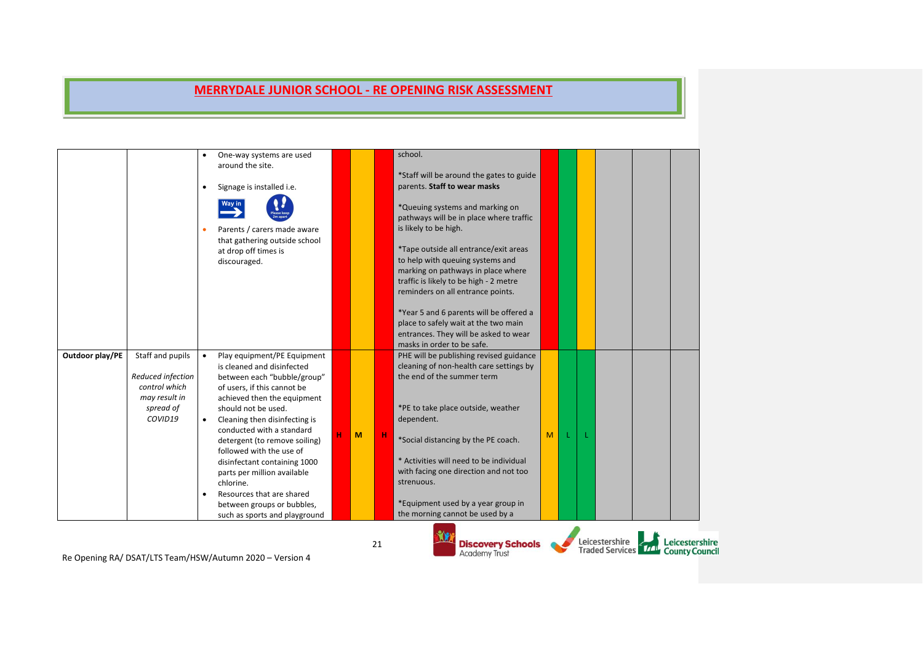|                 |                                                                                                 | $\bullet$                           | One-way systems are used<br>around the site.<br>Signage is installed i.e.<br>Parents / carers made aware<br>that gathering outside school<br>at drop off times is<br>discouraged.                                                                                                                                                                                                                                                                                                |   |   |    | school.<br>*Staff will be around the gates to guide<br>parents. Staff to wear masks<br>*Queuing systems and marking on<br>pathways will be in place where traffic<br>is likely to be high.<br>*Tape outside all entrance/exit areas<br>to help with queuing systems and<br>marking on pathways in place where<br>traffic is likely to be high - 2 metre<br>reminders on all entrance points.<br>*Year 5 and 6 parents will be offered a<br>place to safely wait at the two main<br>entrances. They will be asked to wear<br>masks in order to be safe. |   |  |                                                     |                       |
|-----------------|-------------------------------------------------------------------------------------------------|-------------------------------------|----------------------------------------------------------------------------------------------------------------------------------------------------------------------------------------------------------------------------------------------------------------------------------------------------------------------------------------------------------------------------------------------------------------------------------------------------------------------------------|---|---|----|--------------------------------------------------------------------------------------------------------------------------------------------------------------------------------------------------------------------------------------------------------------------------------------------------------------------------------------------------------------------------------------------------------------------------------------------------------------------------------------------------------------------------------------------------------|---|--|-----------------------------------------------------|-----------------------|
| Outdoor play/PE | Staff and pupils<br>Reduced infection<br>control which<br>may result in<br>spread of<br>COVID19 | $\bullet$<br>$\bullet$<br>$\bullet$ | Play equipment/PE Equipment<br>is cleaned and disinfected<br>between each "bubble/group"<br>of users, if this cannot be<br>achieved then the equipment<br>should not be used.<br>Cleaning then disinfecting is<br>conducted with a standard<br>detergent (to remove soiling)<br>followed with the use of<br>disinfectant containing 1000<br>parts per million available<br>chlorine.<br>Resources that are shared<br>between groups or bubbles,<br>such as sports and playground | н | M | н  | PHE will be publishing revised guidance<br>cleaning of non-health care settings by<br>the end of the summer term<br>*PE to take place outside, weather<br>dependent.<br>*Social distancing by the PE coach.<br>* Activities will need to be individual<br>with facing one direction and not too<br>strenuous.<br>*Equipment used by a year group in<br>the morning cannot be used by a                                                                                                                                                                 | M |  |                                                     |                       |
|                 |                                                                                                 |                                     | $D = Q_{\text{in}}$ $\frac{1}{2}$ $\frac{1}{2}$ $\frac{1}{2}$ $\frac{1}{2}$ $\frac{1}{2}$ $\frac{1}{2}$ $\frac{1}{2}$ $\frac{1}{2}$ $\frac{1}{2}$ $\frac{1}{2}$ $\frac{1}{2}$ $\frac{1}{2}$ $\frac{1}{2}$ $\frac{1}{2}$ $\frac{1}{2}$ $\frac{1}{2}$ $\frac{1}{2}$ $\frac{1}{2}$ $\frac{1}{2}$ $\frac{1}{2}$ $\frac{1}{2}$                                                                                                                                                        |   |   | 21 | <b>Discovery Schools</b><br><b>Academy Trust</b>                                                                                                                                                                                                                                                                                                                                                                                                                                                                                                       |   |  | Leicestershire<br>Traded Services 77 County Council | <b>Leicestershire</b> |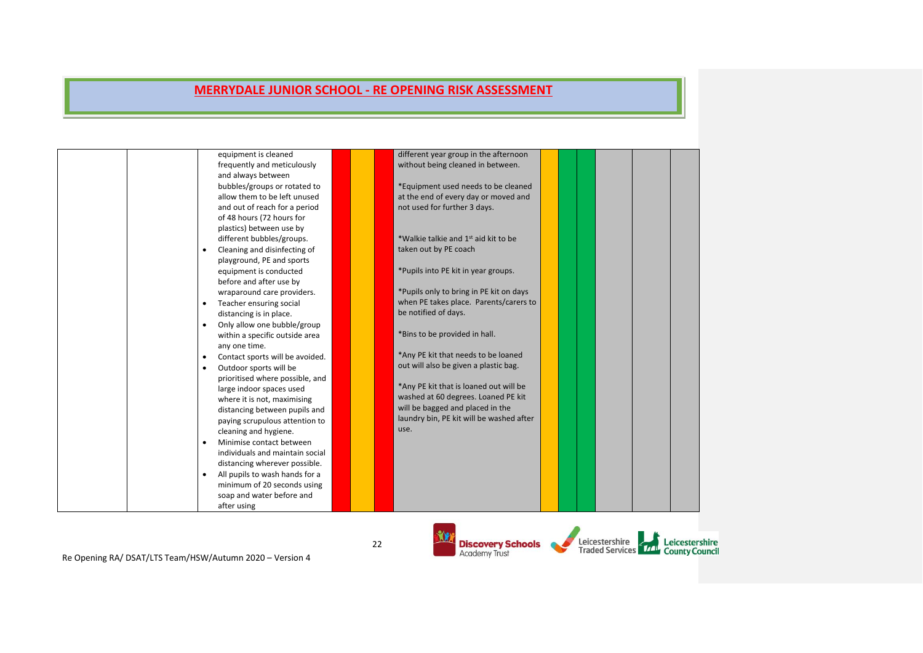|  | equipment is cleaned            | different year group in the afternoon            |  |  |  |
|--|---------------------------------|--------------------------------------------------|--|--|--|
|  | frequently and meticulously     | without being cleaned in between.                |  |  |  |
|  | and always between              |                                                  |  |  |  |
|  | bubbles/groups or rotated to    | *Equipment used needs to be cleaned              |  |  |  |
|  | allow them to be left unused    | at the end of every day or moved and             |  |  |  |
|  | and out of reach for a period   | not used for further 3 days.                     |  |  |  |
|  | of 48 hours (72 hours for       |                                                  |  |  |  |
|  | plastics) between use by        |                                                  |  |  |  |
|  | different bubbles/groups.       | *Walkie talkie and 1 <sup>st</sup> aid kit to be |  |  |  |
|  | Cleaning and disinfecting of    | taken out by PE coach                            |  |  |  |
|  | playground, PE and sports       |                                                  |  |  |  |
|  | equipment is conducted          | *Pupils into PE kit in year groups.              |  |  |  |
|  | before and after use by         |                                                  |  |  |  |
|  | wraparound care providers.      | *Pupils only to bring in PE kit on days          |  |  |  |
|  | Teacher ensuring social         | when PE takes place. Parents/carers to           |  |  |  |
|  | distancing is in place.         | be notified of days.                             |  |  |  |
|  | Only allow one bubble/group     |                                                  |  |  |  |
|  | within a specific outside area  | *Bins to be provided in hall.                    |  |  |  |
|  | any one time.                   |                                                  |  |  |  |
|  |                                 | *Any PE kit that needs to be loaned              |  |  |  |
|  | Contact sports will be avoided. | out will also be given a plastic bag.            |  |  |  |
|  | Outdoor sports will be          |                                                  |  |  |  |
|  | prioritised where possible, and | *Any PE kit that is loaned out will be           |  |  |  |
|  | large indoor spaces used        |                                                  |  |  |  |
|  | where it is not, maximising     | washed at 60 degrees. Loaned PE kit              |  |  |  |
|  | distancing between pupils and   | will be bagged and placed in the                 |  |  |  |
|  | paying scrupulous attention to  | laundry bin, PE kit will be washed after         |  |  |  |
|  | cleaning and hygiene.           | use.                                             |  |  |  |
|  | Minimise contact between        |                                                  |  |  |  |
|  | individuals and maintain social |                                                  |  |  |  |
|  | distancing wherever possible.   |                                                  |  |  |  |
|  | All pupils to wash hands for a  |                                                  |  |  |  |
|  | minimum of 20 seconds using     |                                                  |  |  |  |
|  | soap and water before and       |                                                  |  |  |  |
|  | after using                     |                                                  |  |  |  |
|  |                                 |                                                  |  |  |  |

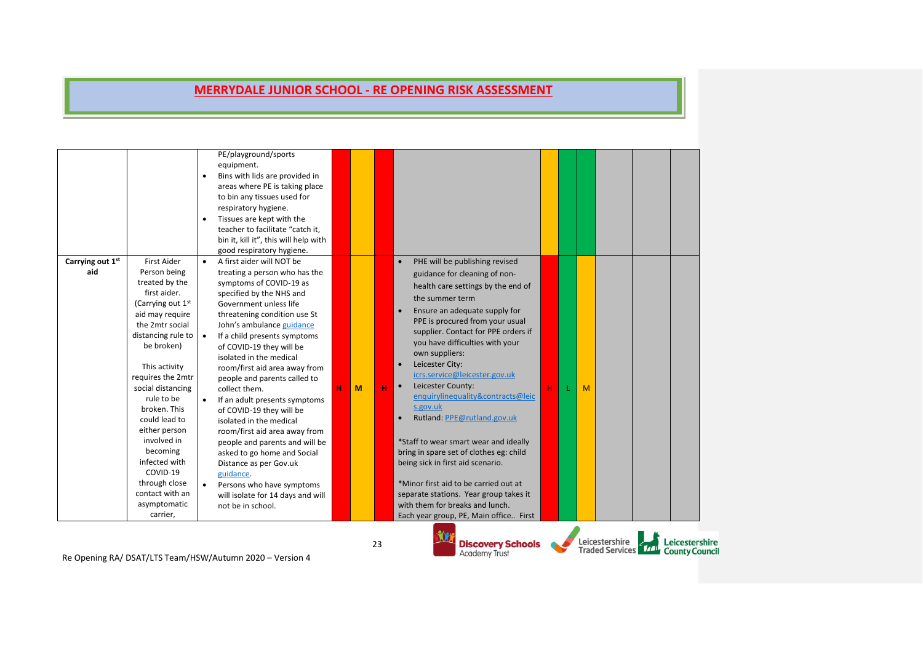| Carrying out 1st<br>aid | <b>First Aider</b><br>Person being                                                                                                                                                                                                                                   | $\bullet$<br>$\bullet$<br>$\bullet$ | PE/playground/sports<br>equipment.<br>Bins with lids are provided in<br>areas where PE is taking place<br>to bin any tissues used for<br>respiratory hygiene.<br>Tissues are kept with the<br>teacher to facilitate "catch it,<br>bin it, kill it", this will help with<br>good respiratory hygiene.<br>A first aider will NOT be<br>treating a person who has the                                                                           |   |   |    | PHE will be publishing revised<br>guidance for cleaning of non-                                                                                                                                                                                                                                                                                                                                                    |
|-------------------------|----------------------------------------------------------------------------------------------------------------------------------------------------------------------------------------------------------------------------------------------------------------------|-------------------------------------|----------------------------------------------------------------------------------------------------------------------------------------------------------------------------------------------------------------------------------------------------------------------------------------------------------------------------------------------------------------------------------------------------------------------------------------------|---|---|----|--------------------------------------------------------------------------------------------------------------------------------------------------------------------------------------------------------------------------------------------------------------------------------------------------------------------------------------------------------------------------------------------------------------------|
|                         | treated by the<br>first aider.<br>(Carrying out 1 <sup>st</sup><br>aid may require<br>the 2mtr social<br>distancing rule to<br>be broken)<br>This activity<br>requires the 2mtr<br>social distancing<br>rule to be<br>broken. This<br>could lead to<br>either person | $\bullet$<br>$\bullet$              | symptoms of COVID-19 as<br>specified by the NHS and<br>Government unless life<br>threatening condition use St<br>John's ambulance guidance<br>If a child presents symptoms<br>of COVID-19 they will be<br>isolated in the medical<br>room/first aid area away from<br>people and parents called to<br>collect them.<br>If an adult presents symptoms<br>of COVID-19 they will be<br>isolated in the medical<br>room/first aid area away from | н | M | н  | health care settings by the end of<br>the summer term<br>Ensure an adequate supply for<br>PPE is procured from your usual<br>supplier. Contact for PPE orders if<br>you have difficulties with your<br>own suppliers:<br>Leicester City:<br>$\bullet$<br>icrs.service@leicester.gov.uk<br>Leicester County:<br>$\bullet$<br>H<br>M<br>enquirylinequality&contracts@leic<br>s.gov.uk<br>Rutland: PPE@rutland.gov.uk |
|                         | involved in<br>becoming<br>infected with<br>COVID-19<br>through close<br>contact with an<br>asymptomatic<br>carrier,                                                                                                                                                 |                                     | people and parents and will be<br>asked to go home and Social<br>Distance as per Gov.uk<br>guidance.<br>Persons who have symptoms<br>will isolate for 14 days and will<br>not be in school.                                                                                                                                                                                                                                                  |   |   |    | *Staff to wear smart wear and ideally<br>bring in spare set of clothes eg: child<br>being sick in first aid scenario.<br>*Minor first aid to be carried out at<br>separate stations. Year group takes it<br>with them for breaks and lunch.<br>Each year group, PE, Main office First                                                                                                                              |
|                         |                                                                                                                                                                                                                                                                      |                                     | Be Opening BA / BEAT/LTC Team (HEW/Autumn 2020 Nersian 4                                                                                                                                                                                                                                                                                                                                                                                     |   |   | 23 | Leicestershire<br>Leicestershire<br><b>Discovery Schools</b><br>Traded Services <b>TAL</b> County Council<br><b>Academy Trust</b>                                                                                                                                                                                                                                                                                  |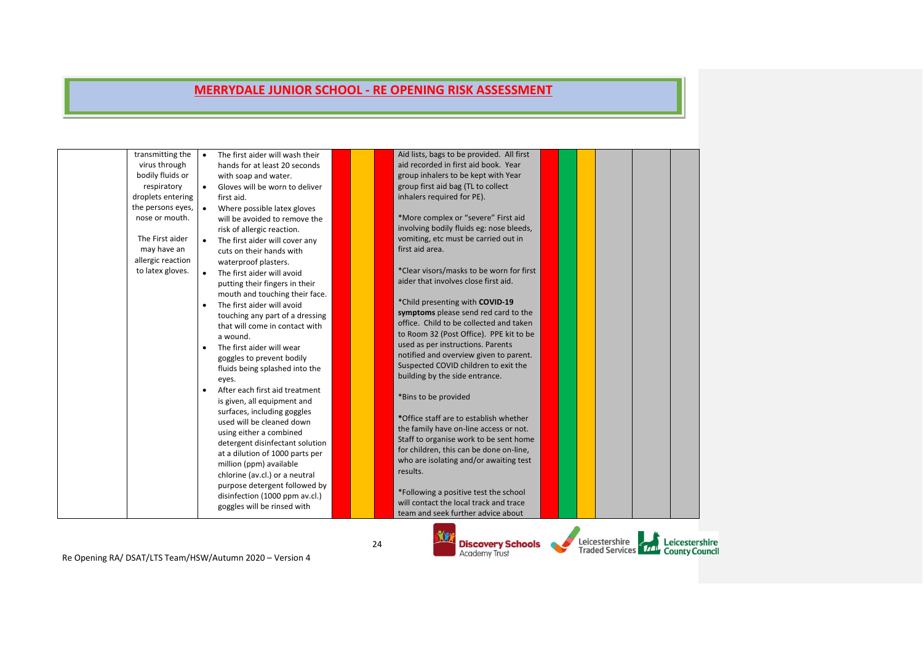| transmitting the  | The first aider will wash their | Aid lists, bags to be provided. All first |  |  |  |
|-------------------|---------------------------------|-------------------------------------------|--|--|--|
| virus through     | hands for at least 20 seconds   | aid recorded in first aid book. Year      |  |  |  |
| bodily fluids or  | with soap and water.            | group inhalers to be kept with Year       |  |  |  |
| respiratory       | Gloves will be worn to deliver  | group first aid bag (TL to collect        |  |  |  |
| droplets entering | first aid.                      | inhalers required for PE).                |  |  |  |
| the persons eyes, | Where possible latex gloves     |                                           |  |  |  |
| nose or mouth.    | will be avoided to remove the   | *More complex or "severe" First aid       |  |  |  |
|                   | risk of allergic reaction.      | involving bodily fluids eg: nose bleeds,  |  |  |  |
| The First aider   | The first aider will cover any  | vomiting, etc must be carried out in      |  |  |  |
| may have an       | cuts on their hands with        | first aid area.                           |  |  |  |
| allergic reaction | waterproof plasters.            |                                           |  |  |  |
| to latex gloves.  | The first aider will avoid      | *Clear visors/masks to be worn for first  |  |  |  |
|                   | putting their fingers in their  | aider that involves close first aid.      |  |  |  |
|                   | mouth and touching their face.  |                                           |  |  |  |
|                   | The first aider will avoid      | *Child presenting with COVID-19           |  |  |  |
|                   | touching any part of a dressing | symptoms please send red card to the      |  |  |  |
|                   | that will come in contact with  | office. Child to be collected and taken   |  |  |  |
|                   | a wound.                        | to Room 32 (Post Office). PPE kit to be   |  |  |  |
| $\bullet$         | The first aider will wear       | used as per instructions. Parents         |  |  |  |
|                   | goggles to prevent bodily       | notified and overview given to parent.    |  |  |  |
|                   | fluids being splashed into the  | Suspected COVID children to exit the      |  |  |  |
|                   | eyes.                           | building by the side entrance.            |  |  |  |
| $\bullet$         | After each first aid treatment  |                                           |  |  |  |
|                   | is given, all equipment and     | *Bins to be provided                      |  |  |  |
|                   | surfaces, including goggles     |                                           |  |  |  |
|                   | used will be cleaned down       | *Office staff are to establish whether    |  |  |  |
|                   | using either a combined         | the family have on-line access or not.    |  |  |  |
|                   | detergent disinfectant solution | Staff to organise work to be sent home    |  |  |  |
|                   | at a dilution of 1000 parts per | for children, this can be done on-line,   |  |  |  |
|                   | million (ppm) available         | who are isolating and/or awaiting test    |  |  |  |
|                   | chlorine (av.cl.) or a neutral  | results.                                  |  |  |  |
|                   | purpose detergent followed by   |                                           |  |  |  |
|                   | disinfection (1000 ppm av.cl.)  | *Following a positive test the school     |  |  |  |
|                   | goggles will be rinsed with     | will contact the local track and trace    |  |  |  |
|                   |                                 | team and seek further advice about        |  |  |  |

Re Opening RA/ DSAT/LTS Team/HSW/Autumn 2020 – Version 4

**Discovery Schools**<br>Academy Trust

Leicestershire<br>Traded Services 771 County Council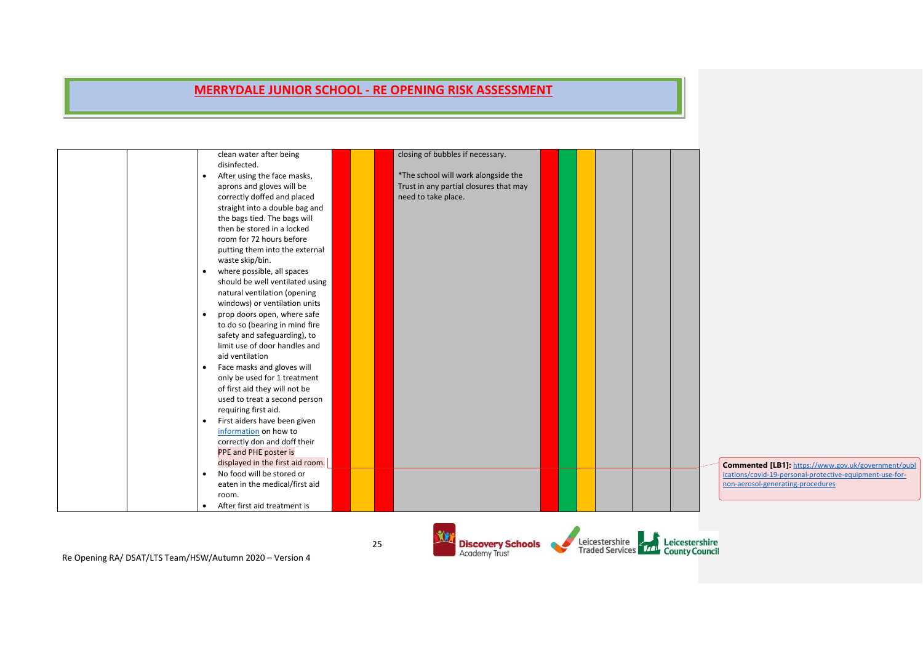| clean water after being                   | closing of bubbles if necessary.       |  |                                                                                            |
|-------------------------------------------|----------------------------------------|--|--------------------------------------------------------------------------------------------|
| disinfected.                              |                                        |  |                                                                                            |
| After using the face masks,<br>$\bullet$  | *The school will work alongside the    |  |                                                                                            |
| aprons and gloves will be                 | Trust in any partial closures that may |  |                                                                                            |
| correctly doffed and placed               | need to take place.                    |  |                                                                                            |
| straight into a double bag and            |                                        |  |                                                                                            |
| the bags tied. The bags will              |                                        |  |                                                                                            |
| then be stored in a locked                |                                        |  |                                                                                            |
| room for 72 hours before                  |                                        |  |                                                                                            |
| putting them into the external            |                                        |  |                                                                                            |
| waste skip/bin.                           |                                        |  |                                                                                            |
| where possible, all spaces<br>$\bullet$   |                                        |  |                                                                                            |
| should be well ventilated using           |                                        |  |                                                                                            |
| natural ventilation (opening              |                                        |  |                                                                                            |
| windows) or ventilation units             |                                        |  |                                                                                            |
| prop doors open, where safe<br>$\bullet$  |                                        |  |                                                                                            |
| to do so (bearing in mind fire            |                                        |  |                                                                                            |
| safety and safeguarding), to              |                                        |  |                                                                                            |
| limit use of door handles and             |                                        |  |                                                                                            |
| aid ventilation                           |                                        |  |                                                                                            |
| Face masks and gloves will<br>$\bullet$   |                                        |  |                                                                                            |
| only be used for 1 treatment              |                                        |  |                                                                                            |
| of first aid they will not be             |                                        |  |                                                                                            |
| used to treat a second person             |                                        |  |                                                                                            |
| requiring first aid.                      |                                        |  |                                                                                            |
| First aiders have been given<br>$\bullet$ |                                        |  |                                                                                            |
| information on how to                     |                                        |  |                                                                                            |
| correctly don and doff their              |                                        |  |                                                                                            |
| PPE and PHE poster is                     |                                        |  |                                                                                            |
| displayed in the first aid room.          |                                        |  |                                                                                            |
| No food will be stored or<br>$\bullet$    |                                        |  | Commented [LB1]: https://www.gov.uk/gove<br>ications/covid-19-personal-protective-equipmer |
| eaten in the medical/first aid            |                                        |  | non-aerosol-generating-procedures                                                          |
| room.                                     |                                        |  |                                                                                            |
| After first aid treatment is<br>$\bullet$ |                                        |  |                                                                                            |
|                                           |                                        |  |                                                                                            |

Re Opening RA/ DSAT/LTS Team/HSW/Autumn 2020 – Version 4

25

**YO** 



ernment/publ it-use-for-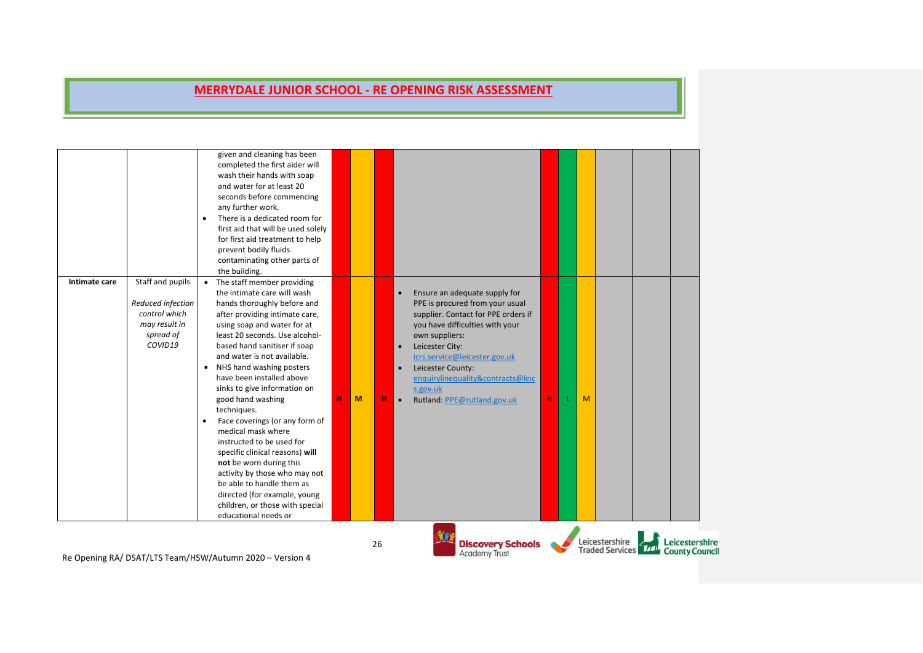| Intimate care | Staff and pupils<br>Reduced infection                  | $\bullet$ | completed the first aider will<br>wash their hands with soap<br>and water for at least 20<br>seconds before commencing<br>any further work.<br>There is a dedicated room for<br>first aid that will be used solely<br>for first aid treatment to help<br>prevent bodily fluids<br>contaminating other parts of<br>the building.<br>The staff member providing<br>the intimate care will wash<br>hands thoroughly before and |   |   |    | $\bullet$                           | Ensure an adequate supply for<br>PPE is procured from your usual                                                                                                                                                                                  |   |   |                                                     |                |  |
|---------------|--------------------------------------------------------|-----------|-----------------------------------------------------------------------------------------------------------------------------------------------------------------------------------------------------------------------------------------------------------------------------------------------------------------------------------------------------------------------------------------------------------------------------|---|---|----|-------------------------------------|---------------------------------------------------------------------------------------------------------------------------------------------------------------------------------------------------------------------------------------------------|---|---|-----------------------------------------------------|----------------|--|
|               | control which<br>may result in<br>spread of<br>COVID19 |           | after providing intimate care,<br>using soap and water for at<br>least 20 seconds. Use alcohol-<br>based hand sanitiser if soap<br>and water is not available.<br>• NHS hand washing posters<br>have been installed above<br>sinks to give information on<br>good hand washing<br>techniques.<br>Face coverings (or any form of                                                                                             | н | M |    | $\bullet$<br>$\bullet$<br>$\bullet$ | supplier. Contact for PPE orders if<br>you have difficulties with your<br>own suppliers:<br>Leicester City:<br>icrs.service@leicester.gov.uk<br>Leicester County:<br>enquirylinequality&contracts@leic<br>s.gov.uk<br>Rutland: PPE@rutland.gov.uk | н | M |                                                     |                |  |
|               |                                                        |           | medical mask where<br>instructed to be used for<br>specific clinical reasons) will<br>not be worn during this<br>activity by those who may not<br>be able to handle them as<br>directed (for example, young<br>children, or those with special<br>educational needs or                                                                                                                                                      |   |   |    |                                     |                                                                                                                                                                                                                                                   |   |   |                                                     |                |  |
|               |                                                        |           |                                                                                                                                                                                                                                                                                                                                                                                                                             |   |   | 26 |                                     | <b>Discovery Schools</b><br><b>Academy Trust</b>                                                                                                                                                                                                  |   |   | Leicestershire<br>Traded Services 77 County Council | Leicestershire |  |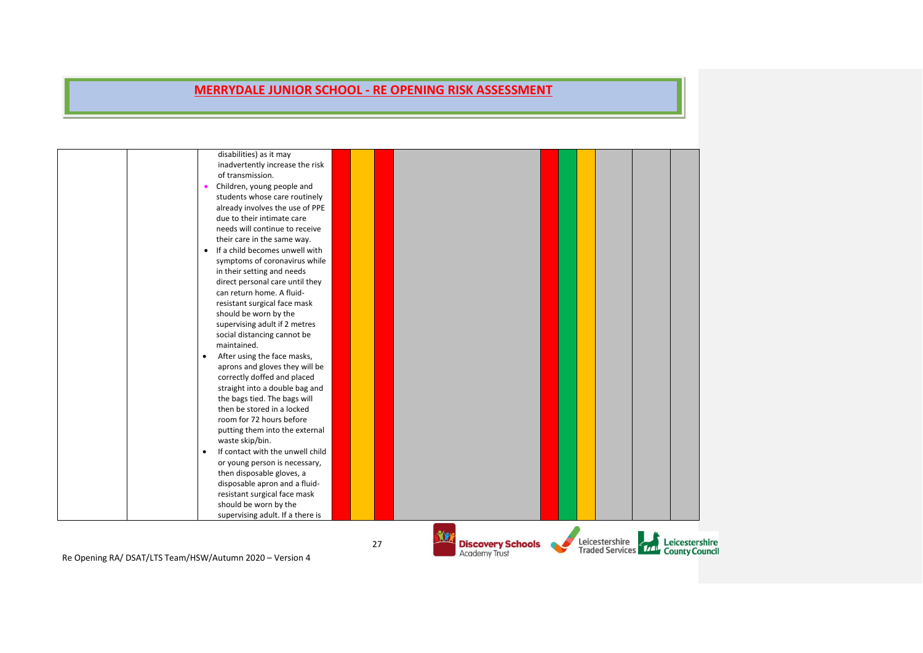|                                                           | disabilities) as it may<br>inadvertently increase the risk<br>of transmission.<br>Children, young people and<br>students whose care routinely<br>already involves the use of PPE<br>due to their intimate care<br>needs will continue to receive<br>their care in the same way.<br>• If a child becomes unwell with<br>symptoms of coronavirus while<br>in their setting and needs<br>direct personal care until they<br>can return home. A fluid-<br>resistant surgical face mask<br>should be worn by the<br>supervising adult if 2 metres<br>social distancing cannot be<br>maintained.<br>After using the face masks,<br>$\bullet$<br>aprons and gloves they will be<br>correctly doffed and placed<br>straight into a double bag and<br>the bags tied. The bags will<br>then be stored in a locked |    |                                                  |                                                             |                |
|-----------------------------------------------------------|---------------------------------------------------------------------------------------------------------------------------------------------------------------------------------------------------------------------------------------------------------------------------------------------------------------------------------------------------------------------------------------------------------------------------------------------------------------------------------------------------------------------------------------------------------------------------------------------------------------------------------------------------------------------------------------------------------------------------------------------------------------------------------------------------------|----|--------------------------------------------------|-------------------------------------------------------------|----------------|
|                                                           | room for 72 hours before<br>putting them into the external<br>waste skip/bin.<br>If contact with the unwell child<br>$\bullet$<br>or young person is necessary,<br>then disposable gloves, a<br>disposable apron and a fluid-<br>resistant surgical face mask<br>should be worn by the<br>supervising adult. If a there is                                                                                                                                                                                                                                                                                                                                                                                                                                                                              |    |                                                  |                                                             |                |
| Be Opening BA / BEAT/LTE Team (HEW/Autumn 2020) Version 4 |                                                                                                                                                                                                                                                                                                                                                                                                                                                                                                                                                                                                                                                                                                                                                                                                         | 27 | <b>Discovery Schools</b><br><b>Academy Trust</b> | Leicestershire<br>Traded Services <b>TAL</b> County Council | Leicestershire |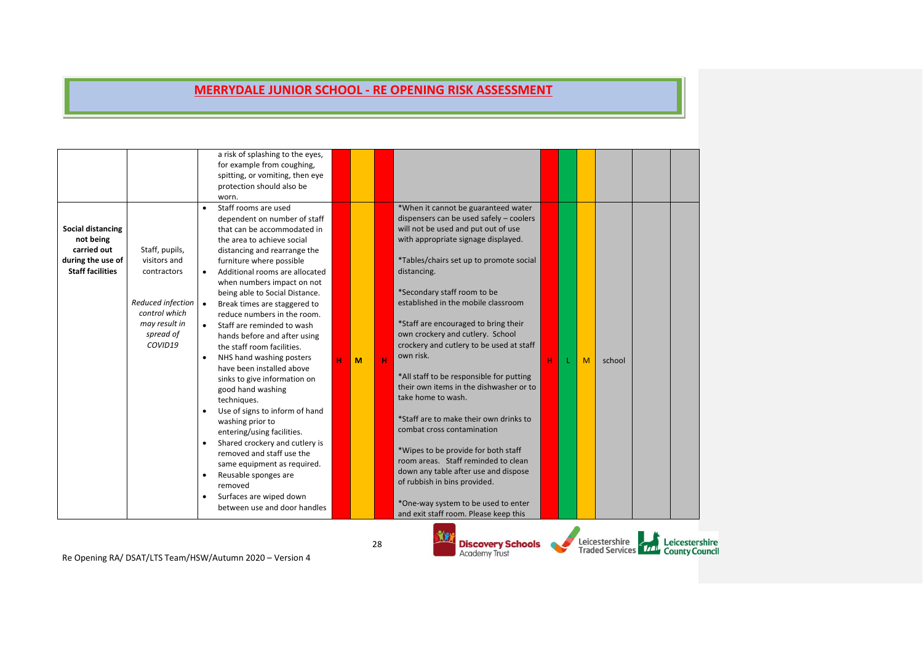|                                                                                                      |                                                                                                                              |                                                                            | a risk of splashing to the eyes,<br>for example from coughing,<br>spitting, or vomiting, then eye<br>protection should also be<br>worn.                                                                                                                                                                                                                                                                                                                                                                                                                                                                                                                                                                                                                                                                                                                 |   |   |    |   |                                                                                                                                                                                                                                                                                                                                                                                                                                                                                                                                                                                                                                                                                                                                                                                                                                                              |   |   |                                          |                                         |
|------------------------------------------------------------------------------------------------------|------------------------------------------------------------------------------------------------------------------------------|----------------------------------------------------------------------------|---------------------------------------------------------------------------------------------------------------------------------------------------------------------------------------------------------------------------------------------------------------------------------------------------------------------------------------------------------------------------------------------------------------------------------------------------------------------------------------------------------------------------------------------------------------------------------------------------------------------------------------------------------------------------------------------------------------------------------------------------------------------------------------------------------------------------------------------------------|---|---|----|---|--------------------------------------------------------------------------------------------------------------------------------------------------------------------------------------------------------------------------------------------------------------------------------------------------------------------------------------------------------------------------------------------------------------------------------------------------------------------------------------------------------------------------------------------------------------------------------------------------------------------------------------------------------------------------------------------------------------------------------------------------------------------------------------------------------------------------------------------------------------|---|---|------------------------------------------|-----------------------------------------|
| <b>Social distancing</b><br>not being<br>carried out<br>during the use of<br><b>Staff facilities</b> | Staff, pupils,<br>visitors and<br>contractors<br>Reduced infection<br>control which<br>may result in<br>spread of<br>COVID19 | $\bullet$<br>$\bullet$<br>$\bullet$<br>$\bullet$<br>$\bullet$<br>$\bullet$ | Staff rooms are used<br>dependent on number of staff<br>that can be accommodated in<br>the area to achieve social<br>distancing and rearrange the<br>furniture where possible<br>Additional rooms are allocated<br>when numbers impact on not<br>being able to Social Distance.<br>Break times are staggered to<br>reduce numbers in the room.<br>Staff are reminded to wash<br>hands before and after using<br>the staff room facilities.<br>NHS hand washing posters<br>have been installed above<br>sinks to give information on<br>good hand washing<br>techniques.<br>Use of signs to inform of hand<br>washing prior to<br>entering/using facilities.<br>Shared crockery and cutlery is<br>removed and staff use the<br>same equipment as required.<br>Reusable sponges are<br>removed<br>Surfaces are wiped down<br>between use and door handles | н | M |    | H | *When it cannot be guaranteed water<br>dispensers can be used safely - coolers<br>will not be used and put out of use<br>with appropriate signage displayed.<br>*Tables/chairs set up to promote social<br>distancing.<br>*Secondary staff room to be<br>established in the mobile classroom<br>*Staff are encouraged to bring their<br>own crockery and cutlery. School<br>crockery and cutlery to be used at staff<br>own risk.<br>*All staff to be responsible for putting<br>their own items in the dishwasher or to<br>take home to wash.<br>*Staff are to make their own drinks to<br>combat cross contamination<br>*Wipes to be provide for both staff<br>room areas. Staff reminded to clean<br>down any table after use and dispose<br>of rubbish in bins provided.<br>*One-way system to be used to enter<br>and exit staff room. Please keep this | н | M | school                                   |                                         |
|                                                                                                      |                                                                                                                              |                                                                            | Re Onening RA/ DSAT/LTS Team/HSW/Autumn 2020 - Version 4                                                                                                                                                                                                                                                                                                                                                                                                                                                                                                                                                                                                                                                                                                                                                                                                |   |   | 28 |   | <b>Discovery Schools</b><br><b>Academy Trust</b>                                                                                                                                                                                                                                                                                                                                                                                                                                                                                                                                                                                                                                                                                                                                                                                                             |   |   | Leicestershire<br><b>Traded Services</b> | Leicestershire<br><b>County Council</b> |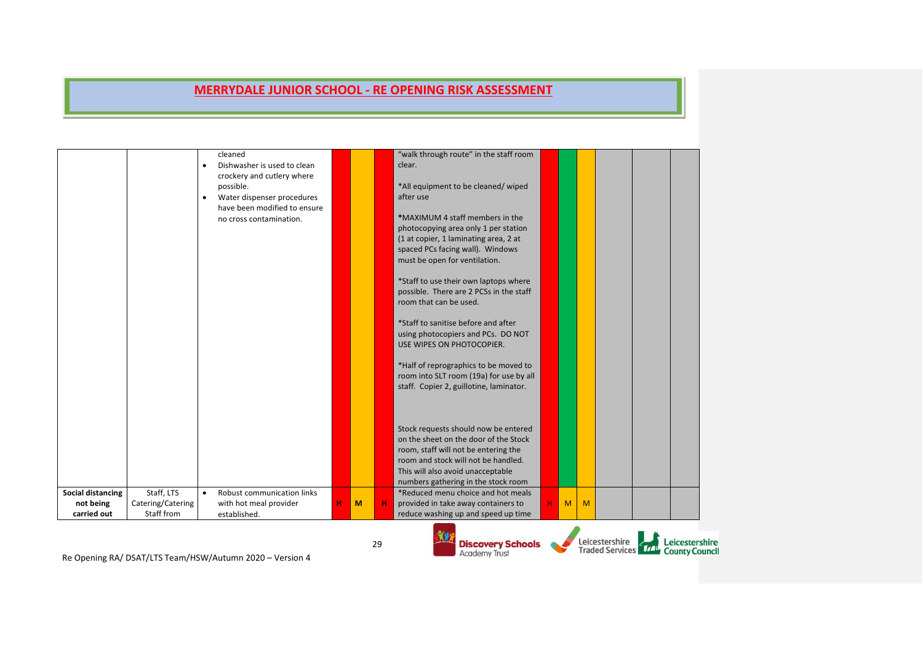|                          |                                 | $\bullet$ | cleaned<br>Dishwasher is used to clean<br>crockery and cutlery where<br>possible.<br>Water dispenser procedures<br>have been modified to ensure<br>no cross contamination.                                                                                                                                                                                                              |   |   |    | "walk through route" in the staff room<br>clear.<br>*All equipment to be cleaned/wiped<br>after use<br>*MAXIMUM 4 staff members in the<br>photocopying area only 1 per station<br>(1 at copier, 1 laminating area, 2 at<br>spaced PCs facing wall). Windows<br>must be open for ventilation.<br>*Staff to use their own laptops where<br>possible. There are 2 PCSs in the staff<br>room that can be used.<br>*Staff to sanitise before and after<br>using photocopiers and PCs. DO NOT<br>USE WIPES ON PHOTOCOPIER.<br>*Half of reprographics to be moved to<br>room into SLT room (19a) for use by all<br>staff. Copier 2, guillotine, laminator. |   |   |   |                                                                  |                |
|--------------------------|---------------------------------|-----------|-----------------------------------------------------------------------------------------------------------------------------------------------------------------------------------------------------------------------------------------------------------------------------------------------------------------------------------------------------------------------------------------|---|---|----|-----------------------------------------------------------------------------------------------------------------------------------------------------------------------------------------------------------------------------------------------------------------------------------------------------------------------------------------------------------------------------------------------------------------------------------------------------------------------------------------------------------------------------------------------------------------------------------------------------------------------------------------------------|---|---|---|------------------------------------------------------------------|----------------|
| <b>Social distancing</b> | Staff, LTS                      | $\bullet$ | <b>Robust communication links</b>                                                                                                                                                                                                                                                                                                                                                       |   |   |    | Stock requests should now be entered<br>on the sheet on the door of the Stock<br>room, staff will not be entering the<br>room and stock will not be handled.<br>This will also avoid unacceptable<br>numbers gathering in the stock room<br>*Reduced menu choice and hot meals                                                                                                                                                                                                                                                                                                                                                                      |   |   |   |                                                                  |                |
| not being<br>carried out | Catering/Catering<br>Staff from |           | with hot meal provider<br>established.                                                                                                                                                                                                                                                                                                                                                  | н | M | н  | provided in take away containers to<br>reduce washing up and speed up time                                                                                                                                                                                                                                                                                                                                                                                                                                                                                                                                                                          | н | M | M |                                                                  |                |
|                          |                                 |           | $D = Q_{\text{in}}$ $\alpha$ $\beta$ $\alpha$ $\beta$ $\beta$ $\beta$ $\alpha$ $\beta$ $\beta$ $\gamma$ $\alpha$ $\beta$ $\alpha$ $\beta$ $\alpha$ $\beta$ $\alpha$ $\beta$ $\alpha$ $\beta$ $\alpha$ $\beta$ $\alpha$ $\beta$ $\alpha$ $\beta$ $\alpha$ $\beta$ $\alpha$ $\beta$ $\alpha$ $\beta$ $\alpha$ $\beta$ $\alpha$ $\beta$ $\alpha$ $\beta$ $\alpha$ $\beta$ $\alpha$ $\beta$ |   |   | 29 | <b>Discovery Schools</b><br><b>Academy Trust</b>                                                                                                                                                                                                                                                                                                                                                                                                                                                                                                                                                                                                    |   |   |   | Leicestershire<br>Traded Services <b>Transfer County Council</b> | Leicestershire |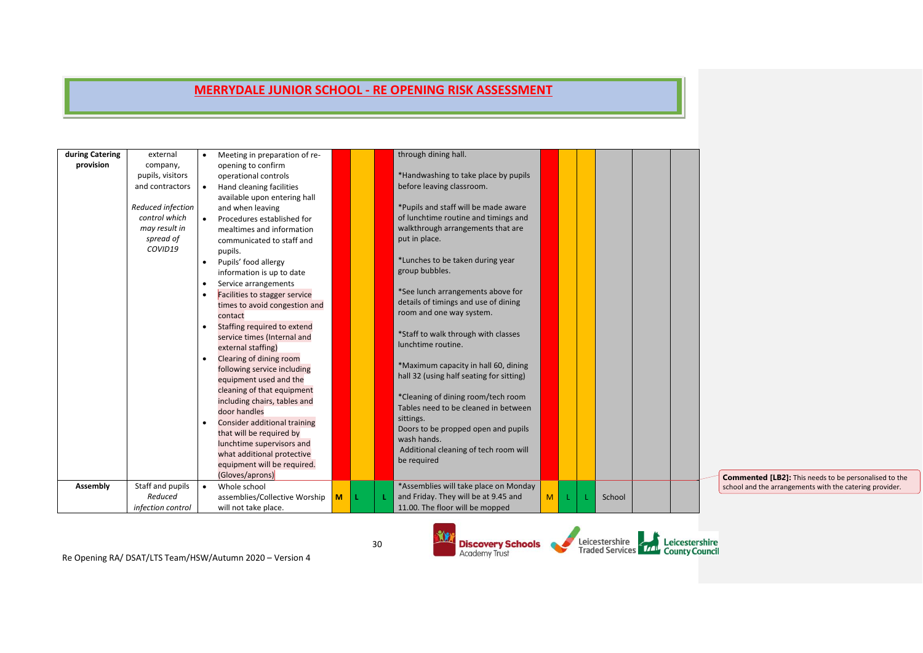| during Catering | external          |           | Meeting in preparation of re- |   |    | through dining hall.                                                       |                |    |        |  |
|-----------------|-------------------|-----------|-------------------------------|---|----|----------------------------------------------------------------------------|----------------|----|--------|--|
| provision       | company,          |           | opening to confirm            |   |    |                                                                            |                |    |        |  |
|                 | pupils, visitors  |           | operational controls          |   |    | *Handwashing to take place by pupils                                       |                |    |        |  |
|                 | and contractors   | $\bullet$ | Hand cleaning facilities      |   |    | before leaving classroom.                                                  |                |    |        |  |
|                 |                   |           | available upon entering hall  |   |    |                                                                            |                |    |        |  |
|                 | Reduced infection |           | and when leaving              |   |    | *Pupils and staff will be made aware                                       |                |    |        |  |
|                 | control which     |           | Procedures established for    |   |    | of lunchtime routine and timings and                                       |                |    |        |  |
|                 | may result in     |           | mealtimes and information     |   |    | walkthrough arrangements that are                                          |                |    |        |  |
|                 | spread of         |           | communicated to staff and     |   |    | put in place.                                                              |                |    |        |  |
|                 | COVID19           |           | pupils.                       |   |    |                                                                            |                |    |        |  |
|                 |                   | $\bullet$ | Pupils' food allergy          |   |    | *Lunches to be taken during year                                           |                |    |        |  |
|                 |                   |           | information is up to date     |   |    | group bubbles.                                                             |                |    |        |  |
|                 |                   |           | Service arrangements          |   |    |                                                                            |                |    |        |  |
|                 |                   |           | Facilities to stagger service |   |    | *See lunch arrangements above for                                          |                |    |        |  |
|                 |                   |           | times to avoid congestion and |   |    | details of timings and use of dining                                       |                |    |        |  |
|                 |                   |           | contact                       |   |    | room and one way system.                                                   |                |    |        |  |
|                 |                   |           | Staffing required to extend   |   |    |                                                                            |                |    |        |  |
|                 |                   |           | service times (Internal and   |   |    | *Staff to walk through with classes                                        |                |    |        |  |
|                 |                   |           | external staffing)            |   |    | lunchtime routine.                                                         |                |    |        |  |
|                 |                   |           | Clearing of dining room       |   |    |                                                                            |                |    |        |  |
|                 |                   |           | following service including   |   |    | *Maximum capacity in hall 60, dining                                       |                |    |        |  |
|                 |                   |           | equipment used and the        |   |    | hall 32 (using half seating for sitting)                                   |                |    |        |  |
|                 |                   |           | cleaning of that equipment    |   |    |                                                                            |                |    |        |  |
|                 |                   |           | including chairs, tables and  |   |    | *Cleaning of dining room/tech room<br>Tables need to be cleaned in between |                |    |        |  |
|                 |                   |           | door handles                  |   |    |                                                                            |                |    |        |  |
|                 |                   |           | Consider additional training  |   |    | sittings.<br>Doors to be propped open and pupils                           |                |    |        |  |
|                 |                   |           | that will be required by      |   |    | wash hands.                                                                |                |    |        |  |
|                 |                   |           | lunchtime supervisors and     |   |    | Additional cleaning of tech room will                                      |                |    |        |  |
|                 |                   |           | what additional protective    |   |    | be required                                                                |                |    |        |  |
|                 |                   |           | equipment will be required.   |   |    |                                                                            |                |    |        |  |
|                 |                   |           | (Gloves/aprons)               |   |    |                                                                            |                |    |        |  |
| Assembly        | Staff and pupils  |           | Whole school                  |   |    | *Assemblies will take place on Monday                                      |                |    |        |  |
|                 | Reduced           |           | assemblies/Collective Worship | M | ÷. | and Friday. They will be at 9.45 and                                       | M <sub>1</sub> | L. | School |  |
|                 | infection control |           | will not take place.          |   |    | 11.00. The floor will be mopped                                            |                |    |        |  |

M

**Discovery Schools**<br>Academy Trust

 $\sim$ 

Re Opening RA/ DSAT/LTS Team/HSW/Autumn 2020 – Version 4

30

Leicestershire<br>Traded Services Trans County Council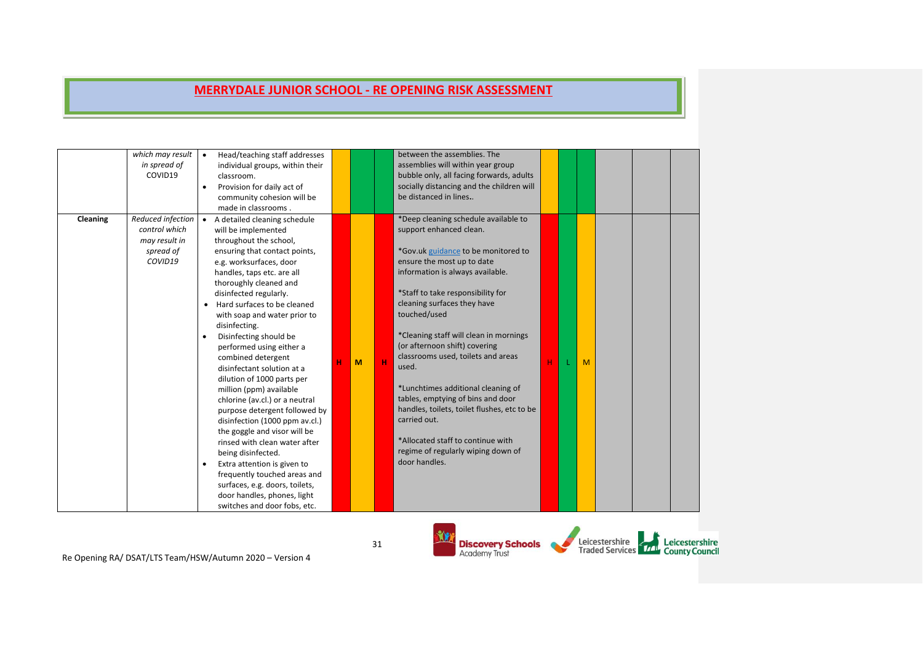|          | which may result<br>in spread of<br>COVID19                                 | $\bullet$ | Head/teaching staff addresses<br>individual groups, within their<br>classroom.<br>Provision for daily act of<br>community cohesion will be<br>made in classrooms.                                                                                                                                                                                                                                                                                                                                                                                                                                                                                                                                                                                                                                                                            |   |   | between the assemblies. The<br>assemblies will within year group<br>bubble only, all facing forwards, adults<br>socially distancing and the children will<br>be distanced in lines                                                                                                                                                                                                                                                                                                                                                                                                                                           |   |   |  |  |
|----------|-----------------------------------------------------------------------------|-----------|----------------------------------------------------------------------------------------------------------------------------------------------------------------------------------------------------------------------------------------------------------------------------------------------------------------------------------------------------------------------------------------------------------------------------------------------------------------------------------------------------------------------------------------------------------------------------------------------------------------------------------------------------------------------------------------------------------------------------------------------------------------------------------------------------------------------------------------------|---|---|------------------------------------------------------------------------------------------------------------------------------------------------------------------------------------------------------------------------------------------------------------------------------------------------------------------------------------------------------------------------------------------------------------------------------------------------------------------------------------------------------------------------------------------------------------------------------------------------------------------------------|---|---|--|--|
| Cleaning | Reduced infection<br>control which<br>may result in<br>spread of<br>COVID19 |           | • A detailed cleaning schedule<br>will be implemented<br>throughout the school,<br>ensuring that contact points,<br>e.g. worksurfaces, door<br>handles, taps etc. are all<br>thoroughly cleaned and<br>disinfected regularly.<br>Hard surfaces to be cleaned<br>with soap and water prior to<br>disinfecting.<br>Disinfecting should be<br>performed using either a<br>combined detergent<br>disinfectant solution at a<br>dilution of 1000 parts per<br>million (ppm) available<br>chlorine (av.cl.) or a neutral<br>purpose detergent followed by<br>disinfection (1000 ppm av.cl.)<br>the goggle and visor will be<br>rinsed with clean water after<br>being disinfected.<br>Extra attention is given to<br>frequently touched areas and<br>surfaces, e.g. doors, toilets,<br>door handles, phones, light<br>switches and door fobs, etc. | M | н | *Deep cleaning schedule available to<br>support enhanced clean.<br>*Gov.uk guidance to be monitored to<br>ensure the most up to date<br>information is always available.<br>*Staff to take responsibility for<br>cleaning surfaces they have<br>touched/used<br>*Cleaning staff will clean in mornings<br>(or afternoon shift) covering<br>classrooms used, toilets and areas<br>used.<br>*Lunchtimes additional cleaning of<br>tables, emptying of bins and door<br>handles, toilets, toilet flushes, etc to be<br>carried out.<br>*Allocated staff to continue with<br>regime of regularly wiping down of<br>door handles. | H | M |  |  |
|          |                                                                             |           |                                                                                                                                                                                                                                                                                                                                                                                                                                                                                                                                                                                                                                                                                                                                                                                                                                              |   |   |                                                                                                                                                                                                                                                                                                                                                                                                                                                                                                                                                                                                                              |   |   |  |  |

Re Opening RA/ DSAT/LTS Team/HSW/Autumn 2020 – Version 4

31

 $\mathbf{\hat{M}}$ 

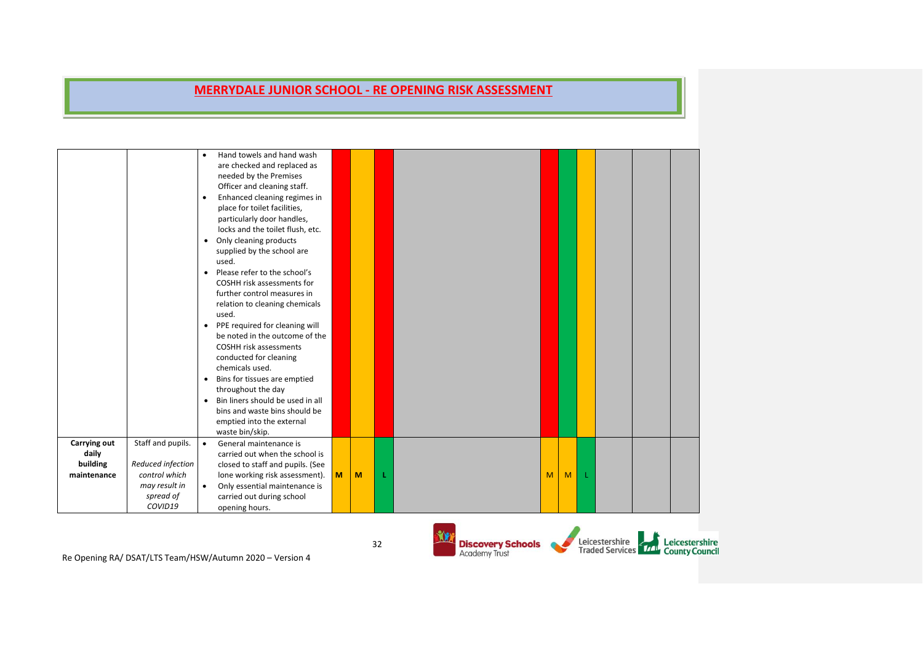|              |                   | $\bullet$ | Hand towels and hand wash        |   |   |   |   |   |   |  |  |
|--------------|-------------------|-----------|----------------------------------|---|---|---|---|---|---|--|--|
|              |                   |           | are checked and replaced as      |   |   |   |   |   |   |  |  |
|              |                   |           | needed by the Premises           |   |   |   |   |   |   |  |  |
|              |                   |           | Officer and cleaning staff.      |   |   |   |   |   |   |  |  |
|              |                   | $\bullet$ | Enhanced cleaning regimes in     |   |   |   |   |   |   |  |  |
|              |                   |           | place for toilet facilities,     |   |   |   |   |   |   |  |  |
|              |                   |           | particularly door handles,       |   |   |   |   |   |   |  |  |
|              |                   |           | locks and the toilet flush, etc. |   |   |   |   |   |   |  |  |
|              |                   | $\bullet$ | Only cleaning products           |   |   |   |   |   |   |  |  |
|              |                   |           | supplied by the school are       |   |   |   |   |   |   |  |  |
|              |                   |           | used.                            |   |   |   |   |   |   |  |  |
|              |                   | $\bullet$ | Please refer to the school's     |   |   |   |   |   |   |  |  |
|              |                   |           | COSHH risk assessments for       |   |   |   |   |   |   |  |  |
|              |                   |           | further control measures in      |   |   |   |   |   |   |  |  |
|              |                   |           | relation to cleaning chemicals   |   |   |   |   |   |   |  |  |
|              |                   |           | used.                            |   |   |   |   |   |   |  |  |
|              |                   |           | • PPE required for cleaning will |   |   |   |   |   |   |  |  |
|              |                   |           | be noted in the outcome of the   |   |   |   |   |   |   |  |  |
|              |                   |           | <b>COSHH risk assessments</b>    |   |   |   |   |   |   |  |  |
|              |                   |           | conducted for cleaning           |   |   |   |   |   |   |  |  |
|              |                   |           | chemicals used.                  |   |   |   |   |   |   |  |  |
|              |                   | $\bullet$ | Bins for tissues are emptied     |   |   |   |   |   |   |  |  |
|              |                   |           | throughout the day               |   |   |   |   |   |   |  |  |
|              |                   | $\bullet$ | Bin liners should be used in all |   |   |   |   |   |   |  |  |
|              |                   |           | bins and waste bins should be    |   |   |   |   |   |   |  |  |
|              |                   |           | emptied into the external        |   |   |   |   |   |   |  |  |
|              |                   |           | waste bin/skip.                  |   |   |   |   |   |   |  |  |
| Carrying out | Staff and pupils. | $\bullet$ | General maintenance is           |   |   |   |   |   |   |  |  |
| daily        |                   |           | carried out when the school is   |   |   |   |   |   |   |  |  |
| building     | Reduced infection |           | closed to staff and pupils. (See |   |   |   |   |   |   |  |  |
| maintenance  | control which     |           | lone working risk assessment).   | M | M | L | M | M | 1 |  |  |
|              | may result in     | $\bullet$ | Only essential maintenance is    |   |   |   |   |   |   |  |  |
|              | spread of         |           | carried out during school        |   |   |   |   |   |   |  |  |
|              | COVID19           |           | opening hours.                   |   |   |   |   |   |   |  |  |
|              |                   |           |                                  |   |   |   |   |   |   |  |  |

Re Opening RA/ DSAT/LTS Team/HSW/Autumn 2020 – Version 4

**YX** 

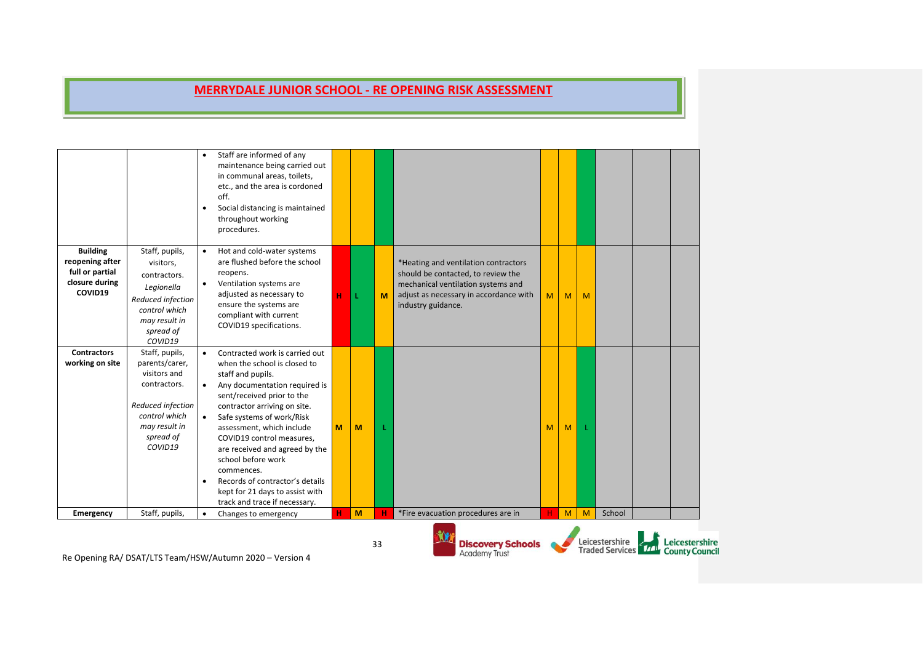|                                                                                    |                                                                                                                                                 | $\bullet$<br>$\bullet$              | Staff are informed of any<br>maintenance being carried out<br>in communal areas, toilets,<br>etc., and the area is cordoned<br>off.<br>Social distancing is maintained<br>throughout working<br>procedures.                                                                                                                                                                                                                                            |   |   |    |                                                                                                                                                                                  |   |   |   |                                                             |                |
|------------------------------------------------------------------------------------|-------------------------------------------------------------------------------------------------------------------------------------------------|-------------------------------------|--------------------------------------------------------------------------------------------------------------------------------------------------------------------------------------------------------------------------------------------------------------------------------------------------------------------------------------------------------------------------------------------------------------------------------------------------------|---|---|----|----------------------------------------------------------------------------------------------------------------------------------------------------------------------------------|---|---|---|-------------------------------------------------------------|----------------|
| <b>Building</b><br>reopening after<br>full or partial<br>closure during<br>COVID19 | Staff, pupils,<br>visitors,<br>contractors.<br>Legionella<br>Reduced infection<br>control which<br>may result in<br>spread of<br>COVID19        | $\bullet$<br>$\bullet$              | Hot and cold-water systems<br>are flushed before the school<br>reopens.<br>Ventilation systems are<br>adjusted as necessary to<br>ensure the systems are<br>compliant with current<br>COVID19 specifications.                                                                                                                                                                                                                                          | н | L | M  | *Heating and ventilation contractors<br>should be contacted, to review the<br>mechanical ventilation systems and<br>adjust as necessary in accordance with<br>industry guidance. | M | M | M |                                                             |                |
| <b>Contractors</b><br>working on site                                              | Staff, pupils,<br>parents/carer,<br>visitors and<br>contractors.<br>Reduced infection<br>control which<br>may result in<br>spread of<br>COVID19 | $\bullet$<br>$\bullet$<br>$\bullet$ | Contracted work is carried out<br>when the school is closed to<br>staff and pupils.<br>Any documentation required is<br>sent/received prior to the<br>contractor arriving on site.<br>Safe systems of work/Risk<br>assessment, which include<br>COVID19 control measures,<br>are received and agreed by the<br>school before work<br>commences.<br>Records of contractor's details<br>kept for 21 days to assist with<br>track and trace if necessary. | M | M |    |                                                                                                                                                                                  | M | M |   |                                                             |                |
| Emergency                                                                          | Staff, pupils,                                                                                                                                  | $\bullet$                           | Changes to emergency                                                                                                                                                                                                                                                                                                                                                                                                                                   | н | M |    | *Fire evacuation procedures are in                                                                                                                                               | н | M | M | School                                                      |                |
|                                                                                    |                                                                                                                                                 |                                     | Be Opening BA / DEAT / ITE Team / HEW / Autumn 2020 Nersian A                                                                                                                                                                                                                                                                                                                                                                                          |   |   | 33 | <b>Discovery Schools</b><br><b>Academy Trust</b>                                                                                                                                 |   |   |   | Leicestershire<br>Traded Services <b>TAL</b> County Council | Leicestershire |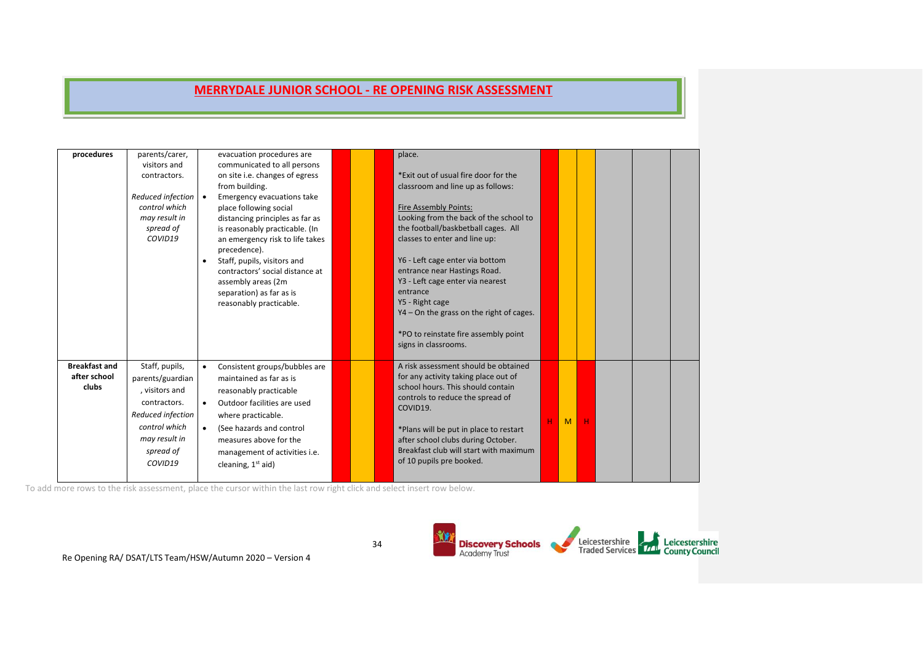| procedures                                    | parents/carer,<br>visitors and<br>contractors.<br>Reduced infection •<br>control which<br>may result in<br>spread of<br>COVID19                     | evacuation procedures are<br>communicated to all persons<br>on site i.e. changes of egress<br>from building.<br>Emergency evacuations take<br>place following social<br>distancing principles as far as<br>is reasonably practicable. (In<br>an emergency risk to life takes<br>precedence).<br>Staff, pupils, visitors and<br>$\bullet$<br>contractors' social distance at<br>assembly areas (2m<br>separation) as far as is<br>reasonably practicable. | place.<br>*Exit out of usual fire door for the<br>classroom and line up as follows:<br><b>Fire Assembly Points:</b><br>Looking from the back of the school to<br>the football/baskbetball cages. All<br>classes to enter and line up:<br>Y6 - Left cage enter via bottom<br>entrance near Hastings Road.<br>Y3 - Left cage enter via nearest<br>entrance<br>Y5 - Right cage<br>$YA$ – On the grass on the right of cages.<br>*PO to reinstate fire assembly point<br>signs in classrooms. |   |   |   |  |  |
|-----------------------------------------------|-----------------------------------------------------------------------------------------------------------------------------------------------------|----------------------------------------------------------------------------------------------------------------------------------------------------------------------------------------------------------------------------------------------------------------------------------------------------------------------------------------------------------------------------------------------------------------------------------------------------------|-------------------------------------------------------------------------------------------------------------------------------------------------------------------------------------------------------------------------------------------------------------------------------------------------------------------------------------------------------------------------------------------------------------------------------------------------------------------------------------------|---|---|---|--|--|
| <b>Breakfast and</b><br>after school<br>clubs | Staff, pupils,<br>parents/guardian<br>, visitors and<br>contractors.<br>Reduced infection<br>control which<br>may result in<br>spread of<br>COVID19 | Consistent groups/bubbles are<br>$\bullet$<br>maintained as far as is<br>reasonably practicable<br>Outdoor facilities are used<br>$\bullet$<br>where practicable.<br>(See hazards and control<br>$\bullet$<br>measures above for the<br>management of activities i.e.<br>cleaning, $1st$ aid)                                                                                                                                                            | A risk assessment should be obtained<br>for any activity taking place out of<br>school hours. This should contain<br>controls to reduce the spread of<br>COVID19.<br>*Plans will be put in place to restart<br>after school clubs during October.<br>Breakfast club will start with maximum<br>of 10 pupils pre booked.                                                                                                                                                                   | н | M | н |  |  |

To add more rows to the risk assessment, place the cursor within the last row right click and select insert row below.

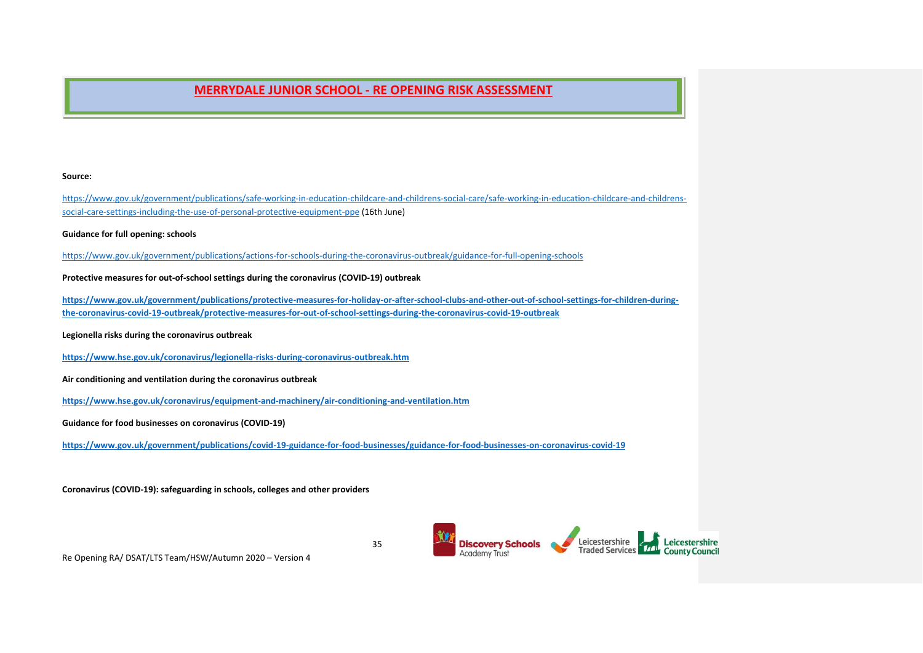#### **Source:**

[https://www.gov.uk/government/publications/safe-working-in-education-childcare-and-childrens-social-care/safe-working-in-education-childcare-and-childrens](https://www.gov.uk/government/publications/safe-working-in-education-childcare-and-childrens-social-care/safe-working-in-education-childcare-and-childrens-social-care-settings-including-the-use-of-personal-protective-equipment-ppe)[social-care-settings-including-the-use-of-personal-protective-equipment-ppe](https://www.gov.uk/government/publications/safe-working-in-education-childcare-and-childrens-social-care/safe-working-in-education-childcare-and-childrens-social-care-settings-including-the-use-of-personal-protective-equipment-ppe) (16th June)

**Guidance for full opening: schools**

<https://www.gov.uk/government/publications/actions-for-schools-during-the-coronavirus-outbreak/guidance-for-full-opening-schools>

**Protective measures for out-of-school settings during the coronavirus (COVID-19) outbreak**

**[https://www.gov.uk/government/publications/protective-measures-for-holiday-or-after-school-clubs-and-other-out-of-school-settings-for-children-during](https://www.gov.uk/government/publications/protective-measures-for-holiday-or-after-school-clubs-and-other-out-of-school-settings-for-children-during-the-coronavirus-covid-19-outbreak/protective-measures-for-out-of-school-settings-during-the-coronavirus-covid-19-outbreak)[the-coronavirus-covid-19-outbreak/protective-measures-for-out-of-school-settings-during-the-coronavirus-covid-19-outbreak](https://www.gov.uk/government/publications/protective-measures-for-holiday-or-after-school-clubs-and-other-out-of-school-settings-for-children-during-the-coronavirus-covid-19-outbreak/protective-measures-for-out-of-school-settings-during-the-coronavirus-covid-19-outbreak)**

**Legionella risks during the coronavirus outbreak**

**<https://www.hse.gov.uk/coronavirus/legionella-risks-during-coronavirus-outbreak.htm>**

**Air conditioning and ventilation during the coronavirus outbreak**

**<https://www.hse.gov.uk/coronavirus/equipment-and-machinery/air-conditioning-and-ventilation.htm>**

**Guidance for food businesses on coronavirus (COVID-19)**

**<https://www.gov.uk/government/publications/covid-19-guidance-for-food-businesses/guidance-for-food-businesses-on-coronavirus-covid-19>**

**Coronavirus (COVID-19): safeguarding in schools, colleges and other providers**



Re Opening RA/ DSAT/LTS Team/HSW/Autumn 2020 – Version 4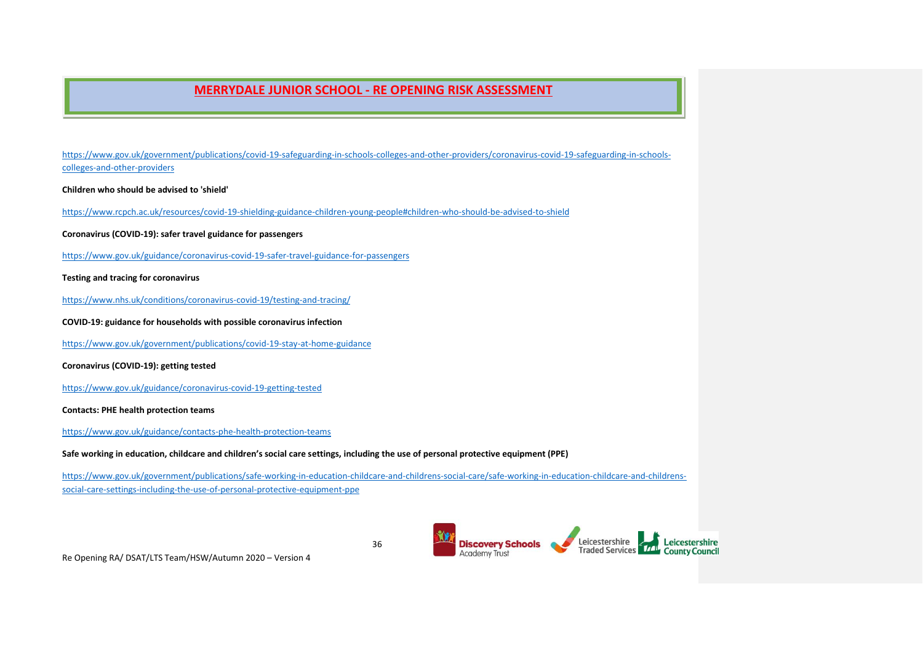[https://www.gov.uk/government/publications/covid-19-safeguarding-in-schools-colleges-and-other-providers/coronavirus-covid-19-safeguarding-in-schools](https://www.gov.uk/government/publications/covid-19-safeguarding-in-schools-colleges-and-other-providers/coronavirus-covid-19-safeguarding-in-schools-colleges-and-other-providers)[colleges-and-other-providers](https://www.gov.uk/government/publications/covid-19-safeguarding-in-schools-colleges-and-other-providers/coronavirus-covid-19-safeguarding-in-schools-colleges-and-other-providers)

**Children who should be advised to 'shield'**

<https://www.rcpch.ac.uk/resources/covid-19-shielding-guidance-children-young-people#children-who-should-be-advised-to-shield>

**Coronavirus (COVID-19): safer travel guidance for passengers**

<https://www.gov.uk/guidance/coronavirus-covid-19-safer-travel-guidance-for-passengers>

**Testing and tracing for coronavirus**

<https://www.nhs.uk/conditions/coronavirus-covid-19/testing-and-tracing/>

**COVID-19: guidance for households with possible coronavirus infection**

<https://www.gov.uk/government/publications/covid-19-stay-at-home-guidance>

**Coronavirus (COVID-19): getting tested**

<https://www.gov.uk/guidance/coronavirus-covid-19-getting-tested>

**Contacts: PHE health protection teams**

<https://www.gov.uk/guidance/contacts-phe-health-protection-teams>

**Safe working in education, childcare and children's social care settings, including the use of personal protective equipment (PPE)**

[https://www.gov.uk/government/publications/safe-working-in-education-childcare-and-childrens-social-care/safe-working-in-education-childcare-and-childrens](https://www.gov.uk/government/publications/safe-working-in-education-childcare-and-childrens-social-care/safe-working-in-education-childcare-and-childrens-social-care-settings-including-the-use-of-personal-protective-equipment-ppe)[social-care-settings-including-the-use-of-personal-protective-equipment-ppe](https://www.gov.uk/government/publications/safe-working-in-education-childcare-and-childrens-social-care/safe-working-in-education-childcare-and-childrens-social-care-settings-including-the-use-of-personal-protective-equipment-ppe)

> Leicestershire<br>Traded Services 14 County Council **Discovery Schools**<br>Academy Trust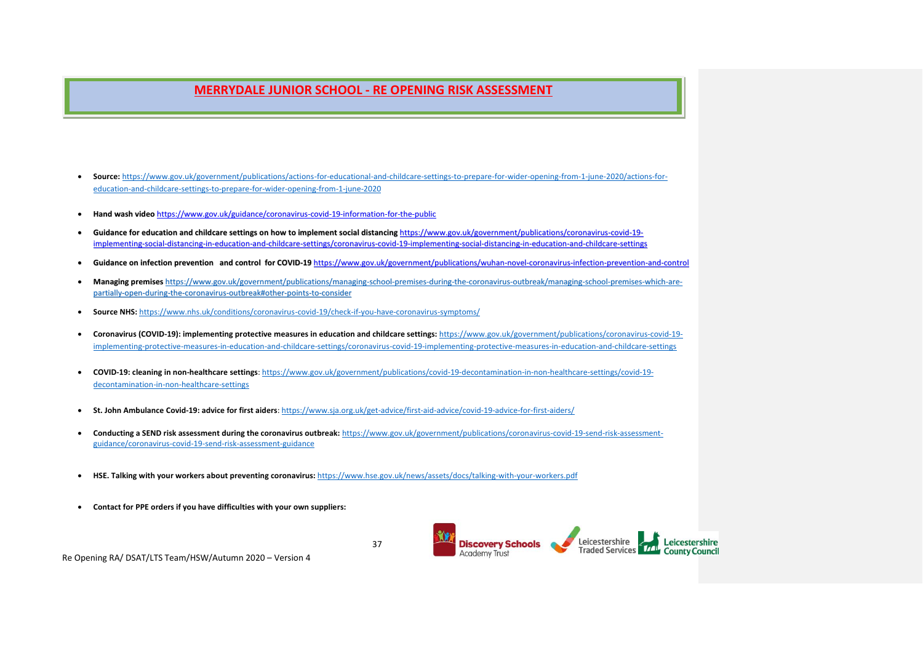- **Source:** [https://www.gov.uk/government/publications/actions-for-educational-and-childcare-settings-to-prepare-for-wider-opening-from-1-june-2020/actions-for](https://www.gov.uk/government/publications/actions-for-educational-and-childcare-settings-to-prepare-for-wider-opening-from-1-june-2020/actions-for-education-and-childcare-settings-to-prepare-for-wider-opening-from-1-june-2020)[education-and-childcare-settings-to-prepare-for-wider-opening-from-1-june-2020](https://www.gov.uk/government/publications/actions-for-educational-and-childcare-settings-to-prepare-for-wider-opening-from-1-june-2020/actions-for-education-and-childcare-settings-to-prepare-for-wider-opening-from-1-june-2020)
- **Hand wash video** <https://www.gov.uk/guidance/coronavirus-covid-19-information-for-the-public>
- Guidance for education and childcare settings on how to implement social distancing [https://www.gov.uk/government/publications/coronavirus-covid-19](https://www.gov.uk/government/publications/coronavirus-covid-19-implementing-social-distancing-in-education-and-childcare-settings/coronavirus-covid-19-implementing-social-distancing-in-education-and-childcare-settings) [implementing-social-distancing-in-education-and-childcare-settings/coronavirus-covid-19-implementing-social-distancing-in-education-and-childcare-settings](https://www.gov.uk/government/publications/coronavirus-covid-19-implementing-social-distancing-in-education-and-childcare-settings/coronavirus-covid-19-implementing-social-distancing-in-education-and-childcare-settings)
- **Guidance on infection prevention and control for COVID-19** <https://www.gov.uk/government/publications/wuhan-novel-coronavirus-infection-prevention-and-control>
- **Managing premises** [https://www.gov.uk/government/publications/managing-school-premises-during-the-coronavirus-outbreak/managing-school-premises-which-are](https://www.gov.uk/government/publications/managing-school-premises-during-the-coronavirus-outbreak/managing-school-premises-which-are-partially-open-during-the-coronavirus-outbreak#other-points-to-consider)[partially-open-during-the-coronavirus-outbreak#other-points-to-consider](https://www.gov.uk/government/publications/managing-school-premises-during-the-coronavirus-outbreak/managing-school-premises-which-are-partially-open-during-the-coronavirus-outbreak#other-points-to-consider)
- **Source NHS:** <https://www.nhs.uk/conditions/coronavirus-covid-19/check-if-you-have-coronavirus-symptoms/>
- **Coronavirus (COVID-19): implementing protective measures in education and childcare settings:** [https://www.gov.uk/government/publications/coronavirus-covid-19](https://www.gov.uk/government/publications/coronavirus-covid-19-implementing-protective-measures-in-education-and-childcare-settings/coronavirus-covid-19-implementing-protective-measures-in-education-and-childcare-settings) [implementing-protective-measures-in-education-and-childcare-settings/coronavirus-covid-19-implementing-protective-measures-in-education-and-childcare-settings](https://www.gov.uk/government/publications/coronavirus-covid-19-implementing-protective-measures-in-education-and-childcare-settings/coronavirus-covid-19-implementing-protective-measures-in-education-and-childcare-settings)
- **COVID-19: cleaning in non-healthcare settings**[: https://www.gov.uk/government/publications/covid-19-decontamination-in-non-healthcare-settings/covid-19](https://www.gov.uk/government/publications/covid-19-decontamination-in-non-healthcare-settings/covid-19-decontamination-in-non-healthcare-settings) [decontamination-in-non-healthcare-settings](https://www.gov.uk/government/publications/covid-19-decontamination-in-non-healthcare-settings/covid-19-decontamination-in-non-healthcare-settings)
- **St. John Ambulance Covid-19: advice for first aiders**[: https://www.sja.org.uk/get-advice/first-aid-advice/covid-19-advice-for-first-aiders/](https://www.sja.org.uk/get-advice/first-aid-advice/covid-19-advice-for-first-aiders/)
- **Conducting a SEND risk assessment during the coronavirus outbreak:** [https://www.gov.uk/government/publications/coronavirus-covid-19-send-risk-assessment](https://www.gov.uk/government/publications/coronavirus-covid-19-send-risk-assessment-guidance/coronavirus-covid-19-send-risk-assessment-guidance)[guidance/coronavirus-covid-19-send-risk-assessment-guidance](https://www.gov.uk/government/publications/coronavirus-covid-19-send-risk-assessment-guidance/coronavirus-covid-19-send-risk-assessment-guidance)

37

- **HSE. Talking with your workers about preventing coronavirus:** <https://www.hse.gov.uk/news/assets/docs/talking-with-your-workers.pdf>
- **Contact for PPE orders if you have difficulties with your own suppliers:**

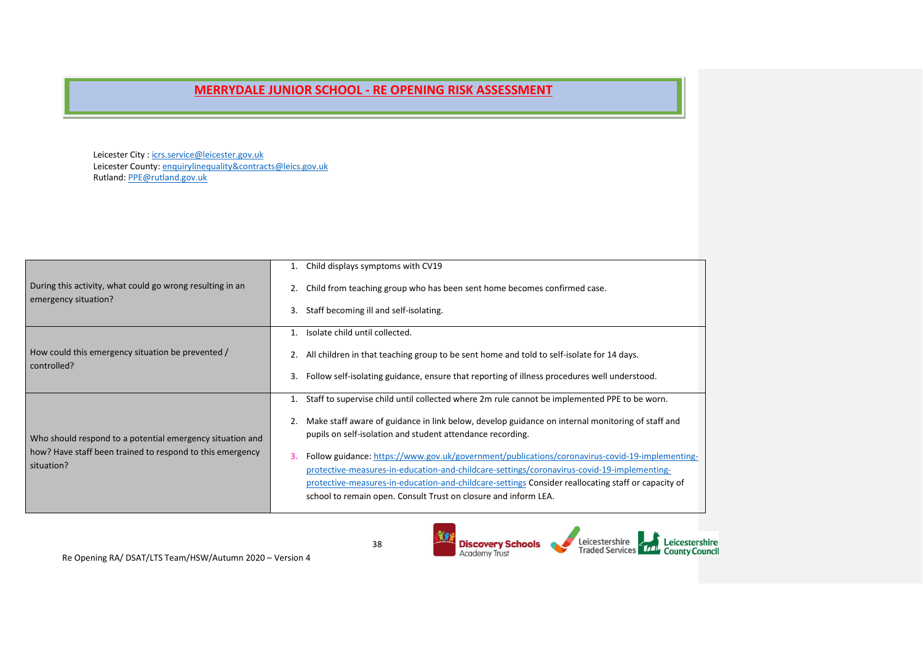Leicester City : [icrs.service@leicester.gov.uk](mailto:icrs.service@leicester.gov.uk) Leicester County[: enquirylinequality&contracts@leics.gov.uk](mailto:enquirylinequality&contracts@leics.gov.uk) Rutland: [PPE@rutland.gov.uk](mailto:PPE@rutland.gov.uk) 

|                                                                                   | Child displays symptoms with CV19                                                                                                                                                                                                                                                                                                                                           |
|-----------------------------------------------------------------------------------|-----------------------------------------------------------------------------------------------------------------------------------------------------------------------------------------------------------------------------------------------------------------------------------------------------------------------------------------------------------------------------|
| During this activity, what could go wrong resulting in an<br>emergency situation? | Child from teaching group who has been sent home becomes confirmed case.<br>2.                                                                                                                                                                                                                                                                                              |
|                                                                                   | Staff becoming ill and self-isolating.<br>3.                                                                                                                                                                                                                                                                                                                                |
|                                                                                   | Isolate child until collected.                                                                                                                                                                                                                                                                                                                                              |
| How could this emergency situation be prevented /<br>controlled?                  | All children in that teaching group to be sent home and told to self-isolate for 14 days.<br>2.                                                                                                                                                                                                                                                                             |
|                                                                                   | Follow self-isolating guidance, ensure that reporting of illness procedures well understood.<br>3.                                                                                                                                                                                                                                                                          |
|                                                                                   | Staff to supervise child until collected where 2m rule cannot be implemented PPE to be worn.                                                                                                                                                                                                                                                                                |
| Who should respond to a potential emergency situation and                         | Make staff aware of guidance in link below, develop guidance on internal monitoring of staff and<br>pupils on self-isolation and student attendance recording.                                                                                                                                                                                                              |
| how? Have staff been trained to respond to this emergency<br>situation?           | Follow guidance: https://www.gov.uk/government/publications/coronavirus-covid-19-implementing-<br>З.<br>protective-measures-in-education-and-childcare-settings/coronavirus-covid-19-implementing-<br>protective-measures-in-education-and-childcare-settings Consider reallocating staff or capacity of<br>school to remain open. Consult Trust on closure and inform LEA. |
|                                                                                   |                                                                                                                                                                                                                                                                                                                                                                             |

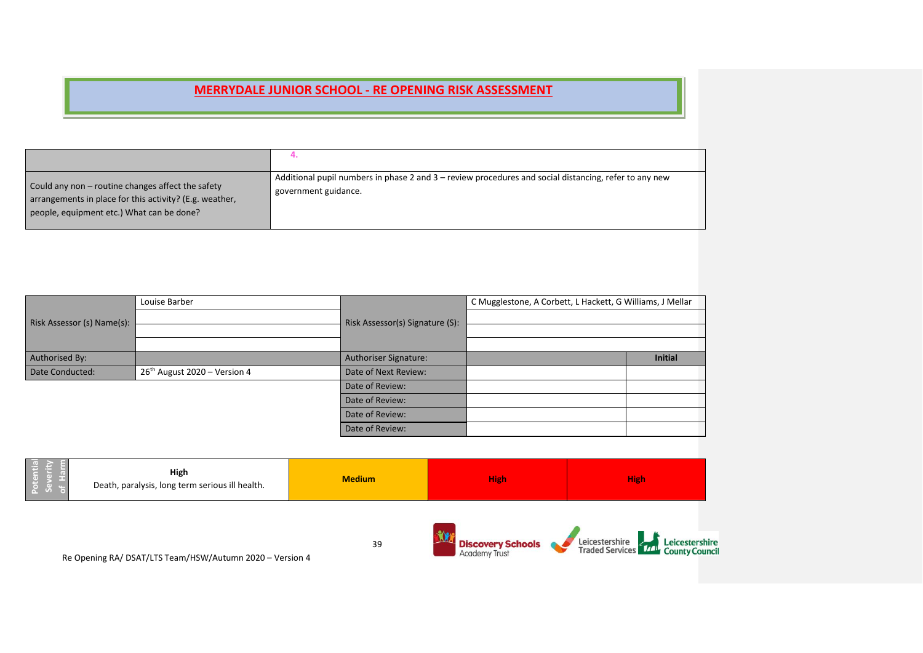| Could any non – routine changes affect the safety<br>arrangements in place for this activity? (E.g. weather,<br>people, equipment etc.) What can be done? | Additional pupil numbers in phase 2 and 3 – review procedures and social distancing, refer to any new<br>government guidance. |
|-----------------------------------------------------------------------------------------------------------------------------------------------------------|-------------------------------------------------------------------------------------------------------------------------------|

|                            | Louise Barber                  |                                 | C Mugglestone, A Corbett, L Hackett, G Williams, J Mellar |                |  |  |  |
|----------------------------|--------------------------------|---------------------------------|-----------------------------------------------------------|----------------|--|--|--|
| Risk Assessor (s) Name(s): |                                | Risk Assessor(s) Signature (S): |                                                           |                |  |  |  |
|                            |                                |                                 |                                                           |                |  |  |  |
|                            |                                |                                 |                                                           |                |  |  |  |
| Authorised By:             |                                | <b>Authoriser Signature:</b>    |                                                           | <b>Initial</b> |  |  |  |
| Date Conducted:            | $26th$ August 2020 – Version 4 | Date of Next Review:            |                                                           |                |  |  |  |
|                            |                                | Date of Review:                 |                                                           |                |  |  |  |
|                            |                                | Date of Review:                 |                                                           |                |  |  |  |
|                            |                                | Date of Review:                 |                                                           |                |  |  |  |
|                            |                                | Date of Review:                 |                                                           |                |  |  |  |